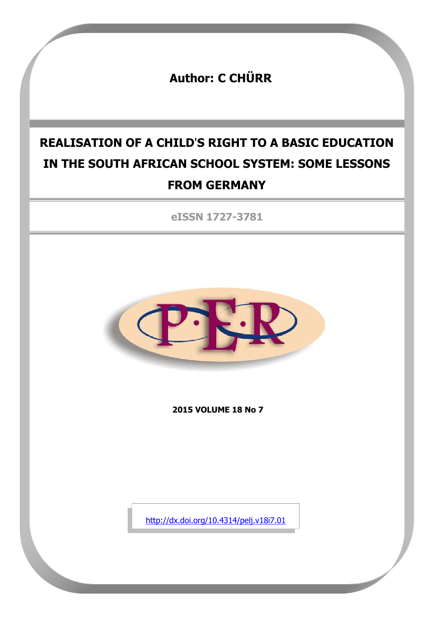**Author: C CHÜRR**

# **REALISATION OF A CHILD**'**S RIGHT TO A BASIC EDUCATION IN THE SOUTH AFRICAN SCHOOL SYSTEM: SOME LESSONS FROM GERMANY**

**eISSN 1727-3781**



**2015 VOLUME 18 No 7**

[http://dx.doi.org/10.4314/pelj.v18i7.01](http://dx.doi.org/10.4314/pelj.v18i7.0)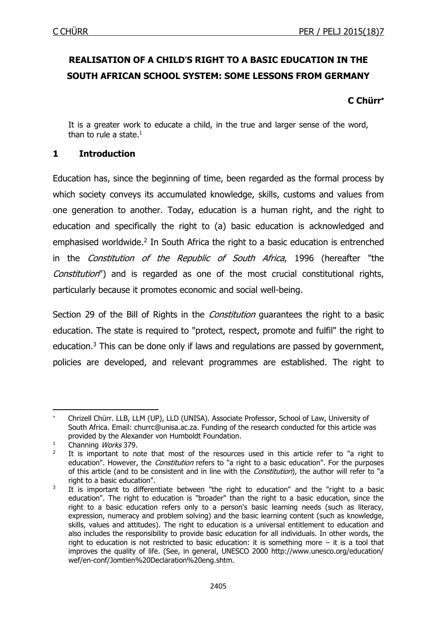# **REALISATION OF A CHILD**'**S RIGHT TO A BASIC EDUCATION IN THE SOUTH AFRICAN SCHOOL SYSTEM: SOME LESSONS FROM GERMANY**

# **C Chürr**

It is a greater work to educate a child, in the true and larger sense of the word, than to rule a state. $1$ 

#### **1 Introduction**

Education has, since the beginning of time, been regarded as the formal process by which society conveys its accumulated knowledge, skills, customs and values from one generation to another. Today, education is a human right, and the right to education and specifically the right to (a) basic education is acknowledged and emphasised worldwide.<sup>2</sup> In South Africa the right to a basic education is entrenched in the Constitution of the Republic of South Africa, 1996 (hereafter "the Constitution") and is regarded as one of the most crucial constitutional rights, particularly because it promotes economic and social well-being.

Section 29 of the Bill of Rights in the *Constitution* guarantees the right to a basic education. The state is required to "protect, respect, promote and fulfil" the right to education.<sup>3</sup> This can be done only if laws and regulations are passed by government, policies are developed, and relevant programmes are established. The right to

<sup>1</sup>  Chrizell Chürr. LLB, LLM (UP), LLD (UNISA). Associate Professor, School of Law, University of South Africa. Email: churrc@unisa.ac.za. Funding of the research conducted for this article was provided by the Alexander von Humboldt Foundation.

 $1$  Channing *Works* 379.

<sup>2</sup> It is important to note that most of the resources used in this article refer to "a right to education". However, the *Constitution* refers to "a right to a basic education". For the purposes of this article (and to be consistent and in line with the *Constitution*), the author will refer to "a right to a basic education".

<sup>3</sup> It is important to differentiate between "the right to education" and the "right to a basic education". The right to education is "broader" than the right to a basic education, since the right to a basic education refers only to a person's basic learning needs (such as literacy, expression, numeracy and problem solving) and the basic learning content (such as knowledge, skills, values and attitudes). The right to education is a universal entitlement to education and also includes the responsibility to provide basic education for all individuals. In other words, the right to education is not restricted to basic education: it is something more – it is a tool that improves the quality of life. (See, in general, UNESCO 2000 http://www.unesco.org/education/ wef/en-conf/Jomtien%20Declaration%20eng.shtm.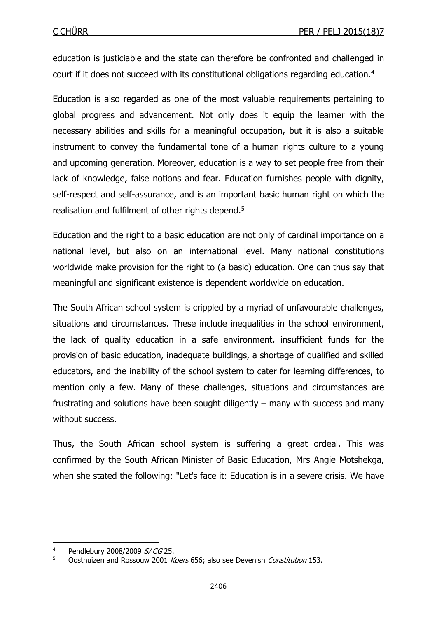education is justiciable and the state can therefore be confronted and challenged in court if it does not succeed with its constitutional obligations regarding education.<sup>4</sup>

Education is also regarded as one of the most valuable requirements pertaining to global progress and advancement. Not only does it equip the learner with the necessary abilities and skills for a meaningful occupation, but it is also a suitable instrument to convey the fundamental tone of a human rights culture to a young and upcoming generation. Moreover, education is a way to set people free from their lack of knowledge, false notions and fear. Education furnishes people with dignity, self-respect and self-assurance, and is an important basic human right on which the realisation and fulfilment of other rights depend.<sup>5</sup>

Education and the right to a basic education are not only of cardinal importance on a national level, but also on an international level. Many national constitutions worldwide make provision for the right to (a basic) education. One can thus say that meaningful and significant existence is dependent worldwide on education.

The South African school system is crippled by a myriad of unfavourable challenges, situations and circumstances. These include inequalities in the school environment, the lack of quality education in a safe environment, insufficient funds for the provision of basic education, inadequate buildings, a shortage of qualified and skilled educators, and the inability of the school system to cater for learning differences, to mention only a few. Many of these challenges, situations and circumstances are frustrating and solutions have been sought diligently – many with success and many without success.

Thus, the South African school system is suffering a great ordeal. This was confirmed by the South African Minister of Basic Education, Mrs Angie Motshekga, when she stated the following: "Let's face it: Education is in a severe crisis. We have

<sup>4</sup> Pendlebury 2008/2009 SACG 25.

<sup>5</sup> Oosthuizen and Rossouw 2001 Koers 656; also see Devenish Constitution 153.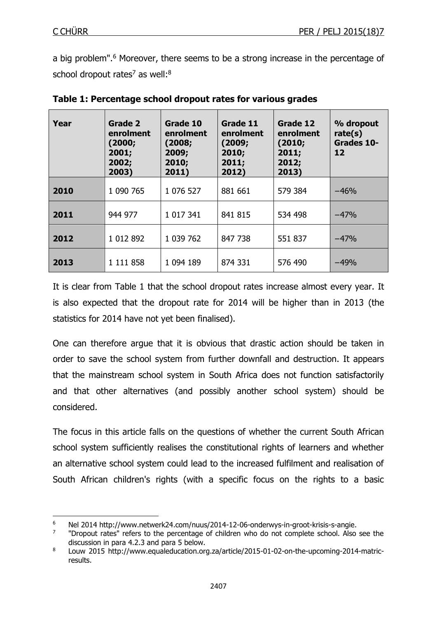a big problem".<sup>6</sup> Moreover, there seems to be a strong increase in the percentage of school dropout rates<sup>7</sup> as well:<sup>8</sup>

| Year | Grade 2<br>enrolment<br>(2000;<br>2001;<br>2002;<br>2003) | Grade 10<br>enrolment<br>(2008;<br>2009;<br>2010;<br>2011) | Grade 11<br>enrolment<br>(2009;<br>2010;<br>2011;<br>2012) | Grade 12<br>enrolment<br>(2010;<br>2011;<br>2012;<br>2013) | % dropout<br>rate(s)<br>Grades 10-<br>12 |
|------|-----------------------------------------------------------|------------------------------------------------------------|------------------------------------------------------------|------------------------------------------------------------|------------------------------------------|
| 2010 | 1 090 765                                                 | 1 076 527                                                  | 881 661                                                    | 579 384                                                    | $-46%$                                   |
| 2011 | 944 977                                                   | 1 017 341                                                  | 841 815                                                    | 534 498                                                    | $-47%$                                   |
| 2012 | 1 012 892                                                 | 1 039 762                                                  | 847 738                                                    | 551 837                                                    | $-47%$                                   |
| 2013 | 1 111 858                                                 | 1 094 189                                                  | 874 331                                                    | 576 490                                                    | $-49%$                                   |

**Table 1: Percentage school dropout rates for various grades**

It is clear from Table 1 that the school dropout rates increase almost every year. It is also expected that the dropout rate for 2014 will be higher than in 2013 (the statistics for 2014 have not yet been finalised).

One can therefore argue that it is obvious that drastic action should be taken in order to save the school system from further downfall and destruction. It appears that the mainstream school system in South Africa does not function satisfactorily and that other alternatives (and possibly another school system) should be considered.

The focus in this article falls on the questions of whether the current South African school system sufficiently realises the constitutional rights of learners and whether an alternative school system could lead to the increased fulfilment and realisation of South African children's rights (with a specific focus on the rights to a basic

<sup>1</sup> <sup>6</sup> Nel 2014 http://www.netwerk24.com/nuus/2014-12-06-onderwys-in-groot-krisis-s-angie.

<sup>7</sup> "Dropout rates" refers to the percentage of children who do not complete school. Also see the discussion in para 4.2.3 and para 5 below.

<sup>8</sup> Louw 2015 http://www.equaleducation.org.za/article/2015-01-02-on-the-upcoming-2014-matricresults.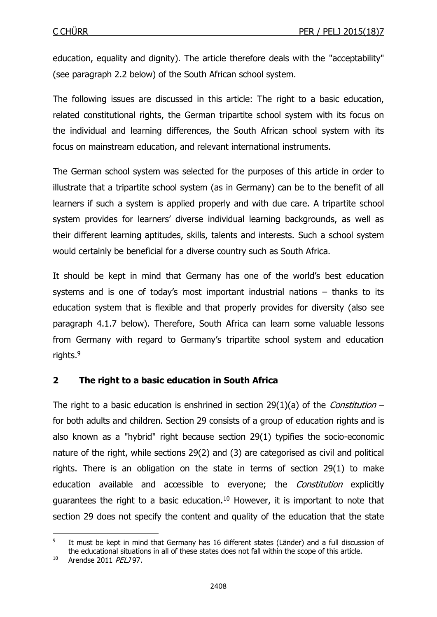education, equality and dignity). The article therefore deals with the "acceptability" (see paragraph 2.2 below) of the South African school system.

The following issues are discussed in this article: The right to a basic education, related constitutional rights, the German tripartite school system with its focus on the individual and learning differences, the South African school system with its focus on mainstream education, and relevant international instruments.

The German school system was selected for the purposes of this article in order to illustrate that a tripartite school system (as in Germany) can be to the benefit of all learners if such a system is applied properly and with due care. A tripartite school system provides for learners' diverse individual learning backgrounds, as well as their different learning aptitudes, skills, talents and interests. Such a school system would certainly be beneficial for a diverse country such as South Africa.

It should be kept in mind that Germany has one of the world's best education systems and is one of today's most important industrial nations – thanks to its education system that is flexible and that properly provides for diversity (also see paragraph 4.1.7 below). Therefore, South Africa can learn some valuable lessons from Germany with regard to Germany's tripartite school system and education rights.<sup>9</sup>

#### **2 The right to a basic education in South Africa**

The right to a basic education is enshrined in section 29(1)(a) of the *Constitution* – for both adults and children. Section 29 consists of a group of education rights and is also known as a "hybrid" right because section 29(1) typifies the socio-economic nature of the right, while sections 29(2) and (3) are categorised as civil and political rights. There is an obligation on the state in terms of section 29(1) to make education available and accessible to everyone; the *Constitution* explicitly guarantees the right to a basic education.<sup>10</sup> However, it is important to note that section 29 does not specify the content and quality of the education that the state

 $\mathsf{q}$ It must be kept in mind that Germany has 16 different states (Länder) and a full discussion of the educational situations in all of these states does not fall within the scope of this article.

<sup>&</sup>lt;sup>10</sup> Arendse 2011 *PELJ* 97.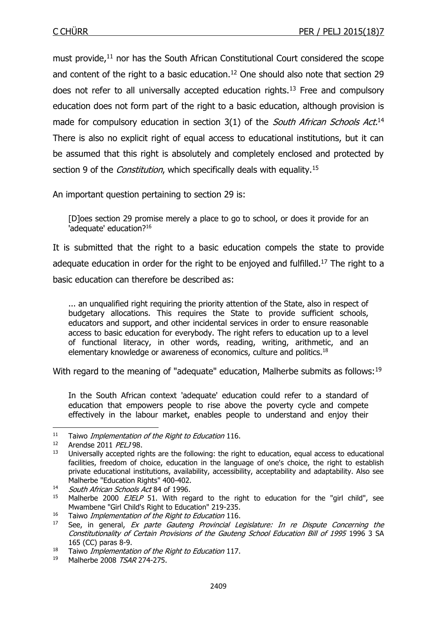must provide,<sup>11</sup> nor has the South African Constitutional Court considered the scope and content of the right to a basic education.<sup>12</sup> One should also note that section 29 does not refer to all universally accepted education rights.<sup>13</sup> Free and compulsory education does not form part of the right to a basic education, although provision is made for compulsory education in section 3(1) of the South African Schools Act.<sup>14</sup> There is also no explicit right of equal access to educational institutions, but it can be assumed that this right is absolutely and completely enclosed and protected by section 9 of the *Constitution*, which specifically deals with equality.<sup>15</sup>

An important question pertaining to section 29 is:

[D]oes section 29 promise merely a place to go to school, or does it provide for an 'adequate' education?<sup>16</sup>

It is submitted that the right to a basic education compels the state to provide adequate education in order for the right to be enjoyed and fulfilled.<sup>17</sup> The right to a basic education can therefore be described as:

... an unqualified right requiring the priority attention of the State, also in respect of budgetary allocations. This requires the State to provide sufficient schools, educators and support, and other incidental services in order to ensure reasonable access to basic education for everybody. The right refers to education up to a level of functional literacy, in other words, reading, writing, arithmetic, and an elementary knowledge or awareness of economics, culture and politics.<sup>18</sup>

With regard to the meaning of "adequate" education, Malherbe submits as follows:<sup>19</sup>

In the South African context 'adequate' education could refer to a standard of education that empowers people to rise above the poverty cycle and compete effectively in the labour market, enables people to understand and enjoy their

1

<sup>&</sup>lt;sup>11</sup> Taiwo *Implementation of the Right to Education* 116.<br><sup>12</sup> Arendee 2011 *PEL1* 98

 $12$  Arendse 2011 *PELJ* 98.

Universally accepted rights are the following: the right to education, equal access to educational facilities, freedom of choice, education in the language of one's choice, the right to establish private educational institutions, availability, accessibility, acceptability and adaptability. Also see Malherbe "Education Rights" 400-402.

<sup>&</sup>lt;sup>14</sup> South African Schools Act 84 of 1996.

<sup>&</sup>lt;sup>15</sup> Malherbe 2000 *EJELP* 51. With regard to the right to education for the "girl child", see Mwambene "Girl Child's Right to Education" 219-235.

<sup>&</sup>lt;sup>16</sup> Taiwo *Implementation of the Right to Education* 116.<br><sup>17</sup> See in general *Ex parte Gauteng Provincial Le* 

See, in general, Ex parte Gauteng Provincial Legislature: In re Dispute Concerning the Constitutionality of Certain Provisions of the Gauteng School Education Bill of 1995 1996 3 SA 165 (CC) paras 8-9.

 $18$  Taiwo *Implementation of the Right to Education* 117.

<sup>19</sup> Malherbe 2008 TSAR 274-275.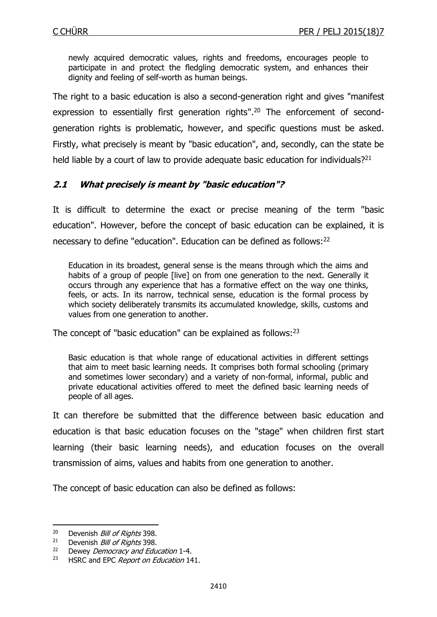newly acquired democratic values, rights and freedoms, encourages people to participate in and protect the fledgling democratic system, and enhances their dignity and feeling of self-worth as human beings.

The right to a basic education is also a second-generation right and gives "manifest expression to essentially first generation rights".<sup>20</sup> The enforcement of secondgeneration rights is problematic, however, and specific questions must be asked. Firstly, what precisely is meant by "basic education", and, secondly, can the state be held liable by a court of law to provide adequate basic education for individuals?  $2^{21}$ 

# **2.1 What precisely is meant by "basic education"?**

It is difficult to determine the exact or precise meaning of the term "basic education". However, before the concept of basic education can be explained, it is necessary to define "education". Education can be defined as follows:<sup>22</sup>

Education in its broadest, general sense is the means through which the aims and habits of a group of people [live] on from one generation to the next. Generally it occurs through any experience that has a formative effect on the way one thinks, feels, or acts. In its narrow, technical sense, education is the formal process by which society deliberately transmits its accumulated knowledge, skills, customs and values from one generation to another.

The concept of "basic education" can be explained as follows: $^{23}$ 

Basic education is that whole range of educational activities in different settings that aim to meet basic learning needs. It comprises both formal schooling (primary and sometimes lower secondary) and a variety of non-formal, informal, public and private educational activities offered to meet the defined basic learning needs of people of all ages.

It can therefore be submitted that the difference between basic education and education is that basic education focuses on the "stage" when children first start learning (their basic learning needs), and education focuses on the overall transmission of aims, values and habits from one generation to another.

The concept of basic education can also be defined as follows:

<sup>&</sup>lt;sup>20</sup> Devenish *Bill of Rights* 398.<br><sup>21</sup> Devenish *Bill of Rights* 398

Devenish Bill of Rights 398.

<sup>&</sup>lt;sup>22</sup> Dewey *Democracy and Education* 1-4.

<sup>&</sup>lt;sup>23</sup> HSRC and EPC Report on Education 141.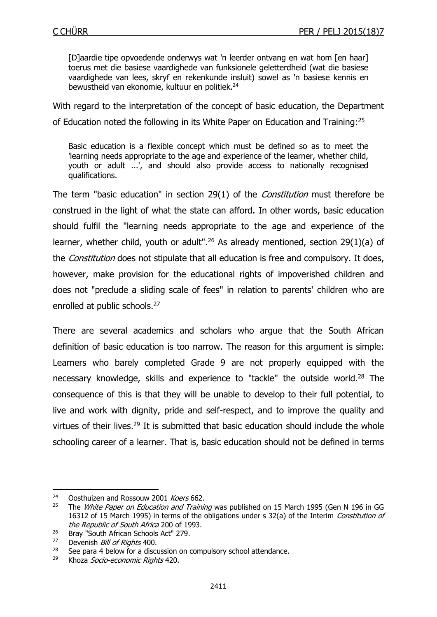[D]aardie tipe opvoedende onderwys wat 'n leerder ontvang en wat hom [en haar] toerus met die basiese vaardighede van funksionele geletterdheid (wat die basiese vaardighede van lees, skryf en rekenkunde insluit) sowel as 'n basiese kennis en bewustheid van ekonomie, kultuur en politiek. 24

With regard to the interpretation of the concept of basic education, the Department of Education noted the following in its White Paper on Education and Training:<sup>25</sup>

Basic education is a flexible concept which must be defined so as to meet the 'learning needs appropriate to the age and experience of the learner, whether child, youth or adult ...', and should also provide access to nationally recognised qualifications.

The term "basic education" in section 29(1) of the *Constitution* must therefore be construed in the light of what the state can afford. In other words, basic education should fulfil the "learning needs appropriate to the age and experience of the learner, whether child, youth or adult".<sup>26</sup> As already mentioned, section 29(1)(a) of the *Constitution* does not stipulate that all education is free and compulsory. It does, however, make provision for the educational rights of impoverished children and does not "preclude a sliding scale of fees" in relation to parents' children who are enrolled at public schools.<sup>27</sup>

There are several academics and scholars who argue that the South African definition of basic education is too narrow. The reason for this argument is simple: Learners who barely completed Grade 9 are not properly equipped with the necessary knowledge, skills and experience to "tackle" the outside world.<sup>28</sup> The consequence of this is that they will be unable to develop to their full potential, to live and work with dignity, pride and self-respect, and to improve the quality and virtues of their lives.<sup>29</sup> It is submitted that basic education should include the whole schooling career of a learner. That is, basic education should not be defined in terms

<sup>&</sup>lt;sup>24</sup> Oosthuizen and Rossouw 2001 Koers 662.

<sup>&</sup>lt;sup>25</sup> The White Paper on Education and Training was published on 15 March 1995 (Gen N 196 in GG 16312 of 15 March 1995) in terms of the obligations under s 32(a) of the Interim Constitution of the Republic of South Africa 200 of 1993.

<sup>&</sup>lt;sup>26</sup> Bray "South African Schools Act" 279.<br><sup>27</sup> Devenish *Bill of Bights* 400.

Devenish Bill of Rights 400.

 $28$  See para 4 below for a discussion on compulsory school attendance.

<sup>&</sup>lt;sup>29</sup> Khoza *Socio-economic Rights* 420.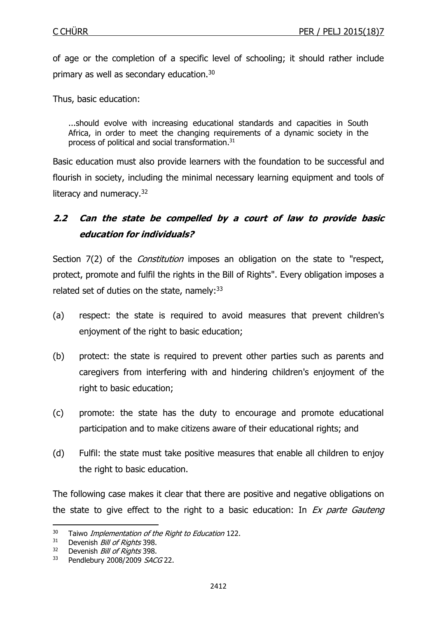of age or the completion of a specific level of schooling; it should rather include primary as well as secondary education.<sup>30</sup>

Thus, basic education:

...should evolve with increasing educational standards and capacities in South Africa, in order to meet the changing requirements of a dynamic society in the process of political and social transformation.<sup>31</sup>

Basic education must also provide learners with the foundation to be successful and flourish in society, including the minimal necessary learning equipment and tools of literacy and numeracy.<sup>32</sup>

# **2.2 Can the state be compelled by a court of law to provide basic education for individuals?**

Section 7(2) of the *Constitution* imposes an obligation on the state to "respect, protect, promote and fulfil the rights in the Bill of Rights". Every obligation imposes a related set of duties on the state, namely:<sup>33</sup>

- (a) respect: the state is required to avoid measures that prevent children's enjoyment of the right to basic education;
- (b) protect: the state is required to prevent other parties such as parents and caregivers from interfering with and hindering children's enjoyment of the right to basic education;
- (c) promote: the state has the duty to encourage and promote educational participation and to make citizens aware of their educational rights; and
- (d) Fulfil: the state must take positive measures that enable all children to enjoy the right to basic education.

The following case makes it clear that there are positive and negative obligations on the state to give effect to the right to a basic education: In  $Ex$  parte Gauteng

 $30$  Taiwo *Implementation of the Right to Education* 122.<br> $31$  Devenish *Bill of Rights* 398

Devenish Bill of Rights 398.

<sup>&</sup>lt;sup>32</sup> Devenish *Bill of Rights* 398.

<sup>33</sup> Pendlebury 2008/2009 SACG 22.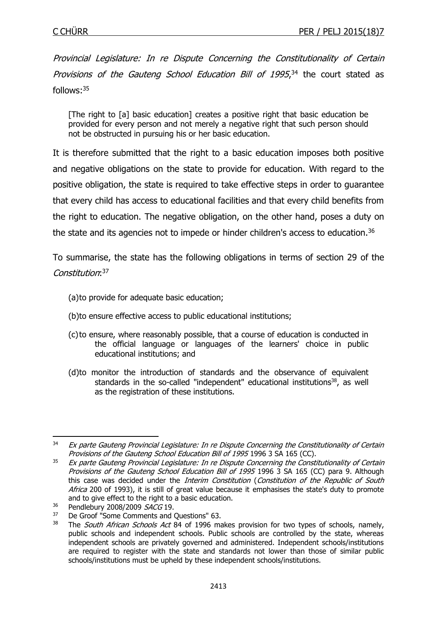Provincial Legislature: In re Dispute Concerning the Constitutionality of Certain Provisions of the Gauteng School Education Bill of 1995,<sup>34</sup> the court stated as follows:<sup>35</sup>

[The right to [a] basic education] creates a positive right that basic education be provided for every person and not merely a negative right that such person should not be obstructed in pursuing his or her basic education.

It is therefore submitted that the right to a basic education imposes both positive and negative obligations on the state to provide for education. With regard to the positive obligation, the state is required to take effective steps in order to guarantee that every child has access to educational facilities and that every child benefits from the right to education. The negative obligation, on the other hand, poses a duty on the state and its agencies not to impede or hinder children's access to education.<sup>36</sup>

To summarise, the state has the following obligations in terms of section 29 of the Constitution: 37

(a)to provide for adequate basic education;

- (b)to ensure effective access to public educational institutions;
- (c)to ensure, where reasonably possible, that a course of education is conducted in the official language or languages of the learners' choice in public educational institutions; and
- (d)to monitor the introduction of standards and the observance of equivalent standards in the so-called "independent" educational institutions<sup>38</sup>, as well as the registration of these institutions.

**<sup>.</sup>**  $34$  Ex parte Gauteng Provincial Legislature: In re Dispute Concerning the Constitutionality of Certain Provisions of the Gauteng School Education Bill of 1995 1996 3 SA 165 (CC).

 $35$  Ex parte Gauteng Provincial Legislature: In re Dispute Concerning the Constitutionality of Certain Provisions of the Gauteng School Education Bill of 1995 1996 3 SA 165 (CC) para 9. Although this case was decided under the Interim Constitution (Constitution of the Republic of South Africa 200 of 1993), it is still of great value because it emphasises the state's duty to promote and to give effect to the right to a basic education.

<sup>36</sup> Pendlebury 2008/2009 SACG 19.

<sup>&</sup>lt;sup>37</sup> De Groof "Some Comments and Questions" 63.

 $38$  The *South African Schools Act* 84 of 1996 makes provision for two types of schools, namely, public schools and independent schools. Public schools are controlled by the state, whereas independent schools are privately governed and administered. Independent schools/institutions are required to register with the state and standards not lower than those of similar public schools/institutions must be upheld by these independent schools/institutions.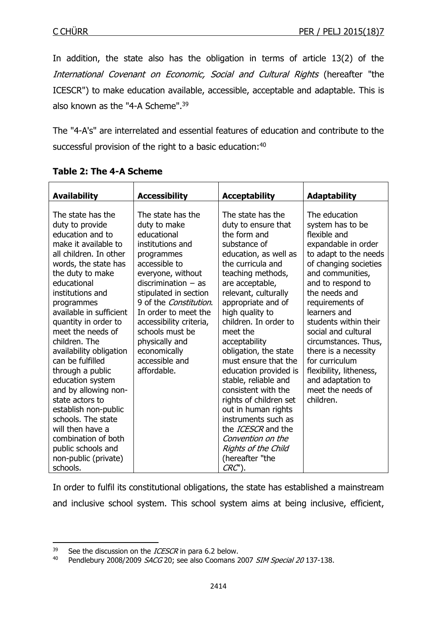In addition, the state also has the obligation in terms of article 13(2) of the International Covenant on Economic, Social and Cultural Rights (hereafter "the ICESCR") to make education available, accessible, acceptable and adaptable. This is also known as the "4-A Scheme".<sup>39</sup>

The "4-A's" are interrelated and essential features of education and contribute to the successful provision of the right to a basic education:<sup>40</sup>

| <b>Availability</b>                                                                                                                                                                                                                                                                                                                                                                                                                                                                                                                                                                   | <b>Accessibility</b>                                                                                                                                                                                                                                                                                                                                  | <b>Acceptability</b>                                                                                                                                                                                                                                                                                                                                                                                                                                                                                                                                                                                   | <b>Adaptability</b>                                                                                                                                                                                                                                                                                                                                                                                                         |
|---------------------------------------------------------------------------------------------------------------------------------------------------------------------------------------------------------------------------------------------------------------------------------------------------------------------------------------------------------------------------------------------------------------------------------------------------------------------------------------------------------------------------------------------------------------------------------------|-------------------------------------------------------------------------------------------------------------------------------------------------------------------------------------------------------------------------------------------------------------------------------------------------------------------------------------------------------|--------------------------------------------------------------------------------------------------------------------------------------------------------------------------------------------------------------------------------------------------------------------------------------------------------------------------------------------------------------------------------------------------------------------------------------------------------------------------------------------------------------------------------------------------------------------------------------------------------|-----------------------------------------------------------------------------------------------------------------------------------------------------------------------------------------------------------------------------------------------------------------------------------------------------------------------------------------------------------------------------------------------------------------------------|
| The state has the<br>duty to provide<br>education and to<br>make it available to<br>all children. In other<br>words, the state has<br>the duty to make<br>educational<br>institutions and<br>programmes<br>available in sufficient<br>quantity in order to<br>meet the needs of<br>children. The<br>availability obligation<br>can be fulfilled<br>through a public<br>education system<br>and by allowing non-<br>state actors to<br>establish non-public<br>schools. The state<br>will then have a<br>combination of both<br>public schools and<br>non-public (private)<br>schools. | The state has the<br>duty to make<br>educational<br>institutions and<br>programmes<br>accessible to<br>everyone, without<br>discrimination $-$ as<br>stipulated in section<br>9 of the <i>Constitution</i> .<br>In order to meet the<br>accessibility criteria,<br>schools must be<br>physically and<br>economically<br>accessible and<br>affordable. | The state has the<br>duty to ensure that<br>the form and<br>substance of<br>education, as well as<br>the curricula and<br>teaching methods,<br>are acceptable,<br>relevant, culturally<br>appropriate and of<br>high quality to<br>children. In order to<br>meet the<br>acceptability<br>obligation, the state<br>must ensure that the<br>education provided is<br>stable, reliable and<br>consistent with the<br>rights of children set<br>out in human rights<br>instruments such as<br>the <i>ICESCR</i> and the<br>Convention on the<br><b>Rights of the Child</b><br>(hereafter "the<br>$CRC$ "). | The education<br>system has to be<br>flexible and<br>expandable in order<br>to adapt to the needs<br>of changing societies<br>and communities,<br>and to respond to<br>the needs and<br>requirements of<br>learners and<br>students within their<br>social and cultural<br>circumstances. Thus,<br>there is a necessity<br>for curriculum<br>flexibility, litheness,<br>and adaptation to<br>meet the needs of<br>children. |

# **Table 2: The 4-A Scheme**

In order to fulfil its constitutional obligations, the state has established a mainstream and inclusive school system. This school system aims at being inclusive, efficient,

 $39$  See the discussion on the *ICESCR* in para 6.2 below.

<sup>&</sup>lt;sup>40</sup> Pendlebury 2008/2009 SACG 20; see also Coomans 2007 SIM Special 20137-138.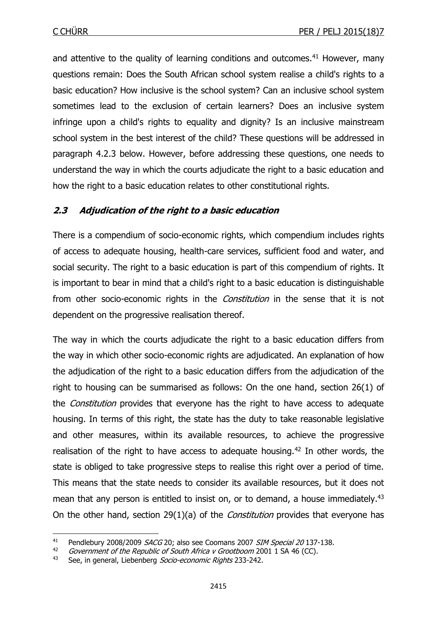and attentive to the quality of learning conditions and outcomes.<sup>41</sup> However, many questions remain: Does the South African school system realise a child's rights to a basic education? How inclusive is the school system? Can an inclusive school system sometimes lead to the exclusion of certain learners? Does an inclusive system infringe upon a child's rights to equality and dignity? Is an inclusive mainstream school system in the best interest of the child? These questions will be addressed in paragraph 4.2.3 below. However, before addressing these questions, one needs to understand the way in which the courts adjudicate the right to a basic education and how the right to a basic education relates to other constitutional rights.

# **2.3 Adjudication of the right to a basic education**

There is a compendium of socio-economic rights, which compendium includes rights of access to adequate housing, health-care services, sufficient food and water, and social security. The right to a basic education is part of this compendium of rights. It is important to bear in mind that a child's right to a basic education is distinguishable from other socio-economic rights in the *Constitution* in the sense that it is not dependent on the progressive realisation thereof.

The way in which the courts adjudicate the right to a basic education differs from the way in which other socio-economic rights are adjudicated. An explanation of how the adjudication of the right to a basic education differs from the adjudication of the right to housing can be summarised as follows: On the one hand, section 26(1) of the *Constitution* provides that everyone has the right to have access to adequate housing. In terms of this right, the state has the duty to take reasonable legislative and other measures, within its available resources, to achieve the progressive realisation of the right to have access to adequate housing. $42$  In other words, the state is obliged to take progressive steps to realise this right over a period of time. This means that the state needs to consider its available resources, but it does not mean that any person is entitled to insist on, or to demand, a house immediately.<sup>43</sup> On the other hand, section 29(1)(a) of the *Constitution* provides that everyone has

**<sup>.</sup>** <sup>41</sup> Pendlebury 2008/2009 *SACG* 20; also see Coomans 2007 *SIM Special 20* 137-138.<br><sup>42</sup> Government of the Republic of South Africa v Groothoom 2001 1 SA 46 (CC)

Government of the Republic of South Africa v Grootboom 2001 1 SA 46 (CC).

<sup>43</sup> See, in general, Liebenberg Socio-economic Rights 233-242.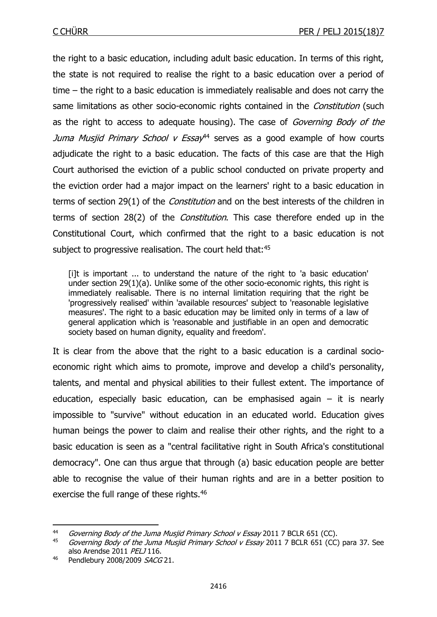the right to a basic education, including adult basic education. In terms of this right, the state is not required to realise the right to a basic education over a period of time – the right to a basic education is immediately realisable and does not carry the same limitations as other socio-economic rights contained in the *Constitution* (such as the right to access to adequate housing). The case of Governing Body of the Juma Musjid Primary School v Essay<sup>44</sup> serves as a good example of how courts adjudicate the right to a basic education. The facts of this case are that the High Court authorised the eviction of a public school conducted on private property and the eviction order had a major impact on the learners' right to a basic education in terms of section 29(1) of the *Constitution* and on the best interests of the children in terms of section 28(2) of the *Constitution*. This case therefore ended up in the Constitutional Court, which confirmed that the right to a basic education is not subject to progressive realisation. The court held that:<sup>45</sup>

[i]t is important ... to understand the nature of the right to 'a basic education' under section 29(1)(a). Unlike some of the other socio-economic rights, this right is immediately realisable. There is no internal limitation requiring that the right be 'progressively realised' within 'available resources' subject to 'reasonable legislative measures'. The right to a basic education may be limited only in terms of a law of general application which is 'reasonable and justifiable in an open and democratic society based on human dignity, equality and freedom'.

It is clear from the above that the right to a basic education is a cardinal socioeconomic right which aims to promote, improve and develop a child's personality, talents, and mental and physical abilities to their fullest extent. The importance of education, especially basic education, can be emphasised again  $-$  it is nearly impossible to "survive" without education in an educated world. Education gives human beings the power to claim and realise their other rights, and the right to a basic education is seen as a "central facilitative right in South Africa's constitutional democracy". One can thus argue that through (a) basic education people are better able to recognise the value of their human rights and are in a better position to exercise the full range of these rights.<sup>46</sup>

<sup>&</sup>lt;sup>44</sup> Governing Body of the Juma Musjid Primary School v Essay 2011 7 BCLR 651 (CC).<br><sup>45</sup> Governing Body of the Juma Musjid Primary School v Essay 2011 7 BCLR 651 (CC)

Governing Body of the Juma Musjid Primary School v Essay 2011 7 BCLR 651 (CC) para 37. See also Arendse 2011 PELJ 116.

<sup>46</sup> Pendlebury 2008/2009 SACG 21.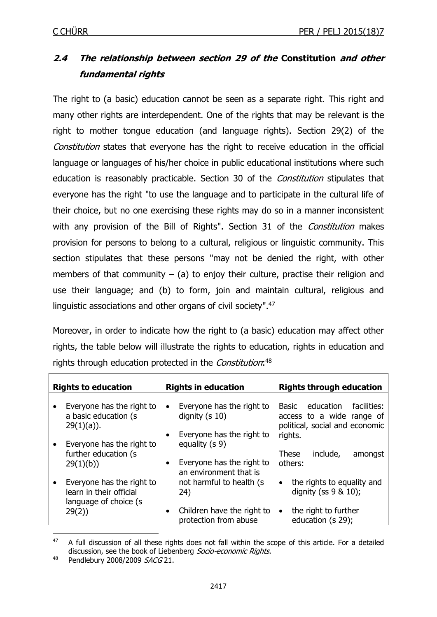# **2.4 The relationship between section 29 of the Constitution and other fundamental rights**

The right to (a basic) education cannot be seen as a separate right. This right and many other rights are interdependent. One of the rights that may be relevant is the right to mother tongue education (and language rights). Section 29(2) of the Constitution states that everyone has the right to receive education in the official language or languages of his/her choice in public educational institutions where such education is reasonably practicable. Section 30 of the *Constitution* stipulates that everyone has the right "to use the language and to participate in the cultural life of their choice, but no one exercising these rights may do so in a manner inconsistent with any provision of the Bill of Rights". Section 31 of the Constitution makes provision for persons to belong to a cultural, religious or linguistic community. This section stipulates that these persons "may not be denied the right, with other members of that community  $-$  (a) to enjoy their culture, practise their religion and use their language; and (b) to form, join and maintain cultural, religious and linguistic associations and other organs of civil society".<sup>47</sup>

Moreover, in order to indicate how the right to (a basic) education may affect other rights, the table below will illustrate the rights to education, rights in education and rights through education protected in the Constitution:<sup>48</sup>

| <b>Rights to education</b> |                                                                    | <b>Rights in education</b> |                                                                          | <b>Rights through education</b> |                             |                                                                          |             |
|----------------------------|--------------------------------------------------------------------|----------------------------|--------------------------------------------------------------------------|---------------------------------|-----------------------------|--------------------------------------------------------------------------|-------------|
|                            | Everyone has the right to<br>a basic education (s<br>$29(1)(a)$ ). | $\bullet$                  | Everyone has the right to<br>dignity $(s 10)$                            |                                 | Basic                       | education<br>access to a wide range of<br>political, social and economic | facilities: |
|                            | Everyone has the right to<br>further education (s)<br>29(1)(b)     | $\bullet$<br>٠             | Everyone has the right to<br>equality (s 9)<br>Everyone has the right to |                                 | rights.<br>These<br>others: | include,                                                                 | amongst     |
|                            | Everyone has the right to<br>learn in their official               |                            | an environment that is<br>not harmful to health (s)<br>24)               | $\bullet$                       |                             | the rights to equality and<br>dignity (ss $9 & 10$ );                    |             |
|                            | language of choice (s)<br>29(2)                                    | ٠                          | Children have the right to<br>protection from abuse                      | $\bullet$                       |                             | the right to further<br>education (s 29);                                |             |

**<sup>.</sup>**  $47$  A full discussion of all these rights does not fall within the scope of this article. For a detailed discussion, see the book of Liebenberg Socio-economic Rights.

<sup>48</sup> Pendlebury 2008/2009 SACG 21.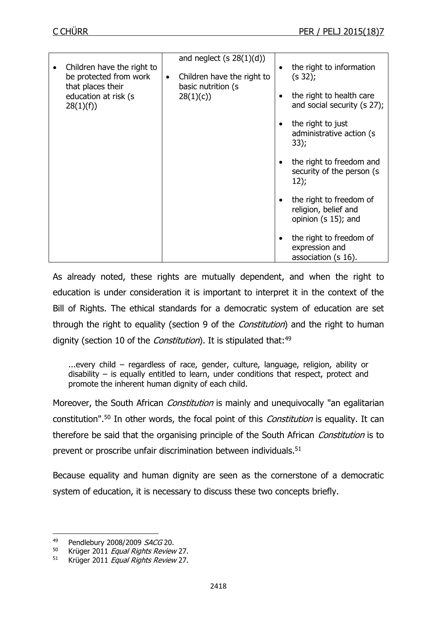| Children have the right to<br>be protected from work<br>that places their<br>education at risk (s<br>28(1)(f) | $\bullet$ | and neglect $(s 28(1)(d))$<br>Children have the right to<br>basic nutrition (s<br>28(1)(c) | the right to information<br>(s 32);<br>the right to health care<br>and social security (s 27);<br>the right to just<br>administrative action (s) |
|---------------------------------------------------------------------------------------------------------------|-----------|--------------------------------------------------------------------------------------------|--------------------------------------------------------------------------------------------------------------------------------------------------|
|                                                                                                               |           |                                                                                            | 33);<br>the right to freedom and<br>security of the person (s)<br>$12)$ ;                                                                        |
|                                                                                                               |           |                                                                                            | the right to freedom of<br>religion, belief and<br>opinion (s 15); and                                                                           |
|                                                                                                               |           |                                                                                            | the right to freedom of<br>expression and<br>association (s 16).                                                                                 |

As already noted, these rights are mutually dependent, and when the right to education is under consideration it is important to interpret it in the context of the Bill of Rights. The ethical standards for a democratic system of education are set through the right to equality (section 9 of the *Constitution*) and the right to human dignity (section 10 of the *Constitution*). It is stipulated that:<sup>49</sup>

...every child – regardless of race, gender, culture, language, religion, ability or disability – is equally entitled to learn, under conditions that respect, protect and promote the inherent human dignity of each child.

Moreover, the South African *Constitution* is mainly and unequivocally "an egalitarian constitution".<sup>50</sup> In other words, the focal point of this *Constitution* is equality. It can therefore be said that the organising principle of the South African *Constitution* is to prevent or proscribe unfair discrimination between individuals.<sup>51</sup>

Because equality and human dignity are seen as the cornerstone of a democratic system of education, it is necessary to discuss these two concepts briefly.

**<sup>.</sup>** <sup>49</sup> Pendlebury 2008/2009 *SACG* 20.<br><sup>50</sup> Krüger 2011 *Faual Rights Review* 

Krüger 2011 Equal Rights Review 27.

<sup>&</sup>lt;sup>51</sup> Krüger 2011 Equal Rights Review 27.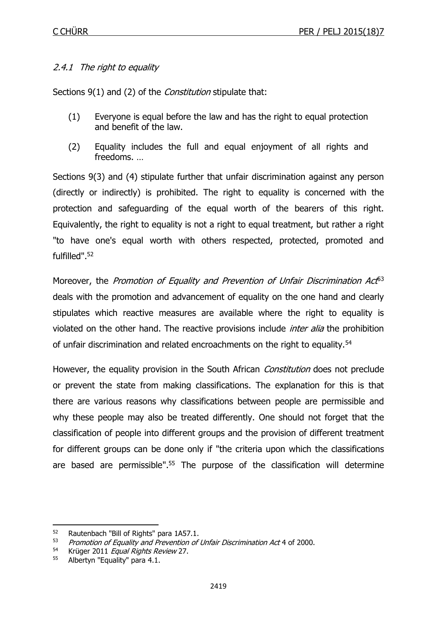# 2.4.1 The right to equality

Sections 9(1) and (2) of the *Constitution* stipulate that:

- (1) Everyone is equal before the law and has the right to equal protection and benefit of the law.
- (2) Equality includes the full and equal enjoyment of all rights and freedoms. …

Sections 9(3) and (4) stipulate further that unfair discrimination against any person (directly or indirectly) is prohibited. The right to equality is concerned with the protection and safeguarding of the equal worth of the bearers of this right. Equivalently, the right to equality is not a right to equal treatment, but rather a right "to have one's equal worth with others respected, protected, promoted and fulfilled". 52

Moreover, the Promotion of Equality and Prevention of Unfair Discrimination Act<sup>53</sup> deals with the promotion and advancement of equality on the one hand and clearly stipulates which reactive measures are available where the right to equality is violated on the other hand. The reactive provisions include *inter alia* the prohibition of unfair discrimination and related encroachments on the right to equality.<sup>54</sup>

However, the equality provision in the South African *Constitution* does not preclude or prevent the state from making classifications. The explanation for this is that there are various reasons why classifications between people are permissible and why these people may also be treated differently. One should not forget that the classification of people into different groups and the provision of different treatment for different groups can be done only if "the criteria upon which the classifications are based are permissible". <sup>55</sup> The purpose of the classification will determine

<sup>&</sup>lt;sup>52</sup> Rautenbach "Bill of Rights" para 1A57.1.<br><sup>53</sup> Promotion of Fauality and Prevention of

Promotion of Equality and Prevention of Unfair Discrimination Act 4 of 2000.

<sup>54</sup> Krüger 2011 Equal Rights Review 27.

<sup>55</sup> Albertyn "Equality" para 4.1.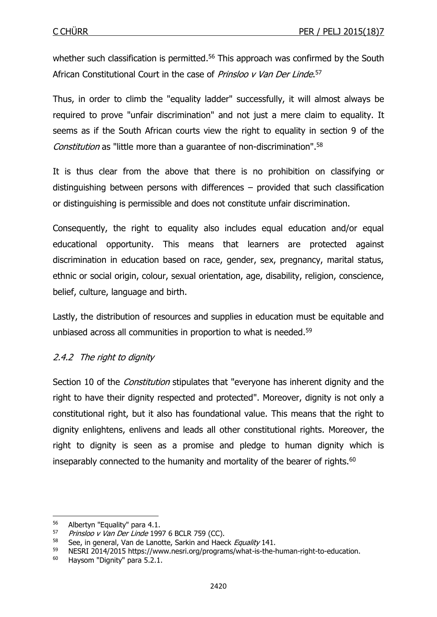whether such classification is permitted.<sup>56</sup> This approach was confirmed by the South African Constitutional Court in the case of *Prinsloo v Van Der Linde*.<sup>57</sup>

Thus, in order to climb the "equality ladder" successfully, it will almost always be required to prove "unfair discrimination" and not just a mere claim to equality. It seems as if the South African courts view the right to equality in section 9 of the Constitution as "little more than a guarantee of non-discrimination".<sup>58</sup>

It is thus clear from the above that there is no prohibition on classifying or distinguishing between persons with differences – provided that such classification or distinguishing is permissible and does not constitute unfair discrimination.

Consequently, the right to equality also includes equal education and/or equal educational opportunity. This means that learners are protected against discrimination in education based on race, gender, sex, pregnancy, marital status, ethnic or social origin, colour, sexual orientation, age, disability, religion, conscience, belief, culture, language and birth.

Lastly, the distribution of resources and supplies in education must be equitable and unbiased across all communities in proportion to what is needed.<sup>59</sup>

#### 2.4.2 The right to dignity

Section 10 of the *Constitution* stipulates that "everyone has inherent dignity and the right to have their dignity respected and protected". Moreover, dignity is not only a constitutional right, but it also has foundational value. This means that the right to dignity enlightens, enlivens and leads all other constitutional rights. Moreover, the right to dignity is seen as a promise and pledge to human dignity which is inseparably connected to the humanity and mortality of the bearer of rights.<sup>60</sup>

1

<sup>&</sup>lt;sup>56</sup> Albertyn "Equality" para 4.1.<br><sup>57</sup> Princles V *Van Der Linde* 199

 $57$  Prinsioo v Van Der Linde 1997 6 BCLR 759 (CC).

See, in general, Van de Lanotte, Sarkin and Haeck Equality 141.

<sup>59</sup> NESRI 2014/2015 https://www.nesri.org/programs/what-is-the-human-right-to-education.

<sup>&</sup>lt;sup>60</sup> Haysom "Dignity" para 5.2.1.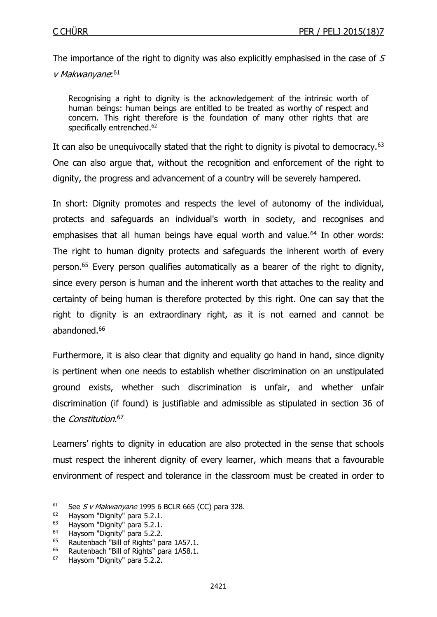The importance of the right to dignity was also explicitly emphasised in the case of  $S$ 

v Makwanyane: 61

Recognising a right to dignity is the acknowledgement of the intrinsic worth of human beings: human beings are entitled to be treated as worthy of respect and concern. This right therefore is the foundation of many other rights that are specifically entrenched.<sup>62</sup>

It can also be unequivocally stated that the right to dignity is pivotal to democracy.<sup>63</sup> One can also argue that, without the recognition and enforcement of the right to dignity, the progress and advancement of a country will be severely hampered.

In short: Dignity promotes and respects the level of autonomy of the individual, protects and safeguards an individual's worth in society, and recognises and emphasises that all human beings have equal worth and value.<sup>64</sup> In other words: The right to human dignity protects and safeguards the inherent worth of every person.<sup>65</sup> Every person qualifies automatically as a bearer of the right to dignity, since every person is human and the inherent worth that attaches to the reality and certainty of being human is therefore protected by this right. One can say that the right to dignity is an extraordinary right, as it is not earned and cannot be abandoned.<sup>66</sup>

Furthermore, it is also clear that dignity and equality go hand in hand, since dignity is pertinent when one needs to establish whether discrimination on an unstipulated ground exists, whether such discrimination is unfair, and whether unfair discrimination (if found) is justifiable and admissible as stipulated in section 36 of the *Constitution*.<sup>67</sup>

Learners' rights to dignity in education are also protected in the sense that schools must respect the inherent dignity of every learner, which means that a favourable environment of respect and tolerance in the classroom must be created in order to

1

<sup>&</sup>lt;sup>61</sup> See S v Makwanyane 1995 6 BCLR 665 (CC) para 328.

<sup>62</sup> Haysom "Dignity" para 5.2.1.

 $^{63}$  Haysom "Dignity" para 5.2.1.<br> $^{64}$  Haysom "Dignity" para 5.2.2.

 $^{64}$  Haysom "Dignity" para 5.2.2.<br> $^{65}$  Rautenbach "Bill of Rights" pa

 $^{65}$  Rautenbach "Bill of Rights" para 1A57.1.<br> $^{66}$  Rautenbach "Bill of Rights" para 1A58.1

Rautenbach "Bill of Rights" para 1A58.1.

<sup>67</sup> Haysom "Dignity" para 5.2.2.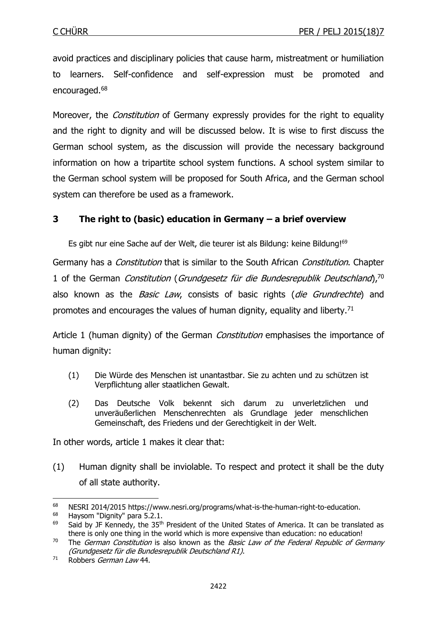avoid practices and disciplinary policies that cause harm, mistreatment or humiliation to learners. Self-confidence and self-expression must be promoted and encouraged.<sup>68</sup>

Moreover, the *Constitution* of Germany expressly provides for the right to equality and the right to dignity and will be discussed below. It is wise to first discuss the German school system, as the discussion will provide the necessary background information on how a tripartite school system functions. A school system similar to the German school system will be proposed for South Africa, and the German school system can therefore be used as a framework.

# **3 The right to (basic) education in Germany – a brief overview**

Es gibt nur eine Sache auf der Welt, die teurer ist als Bildung: keine Bildung!<sup>69</sup>

Germany has a *Constitution* that is similar to the South African *Constitution*. Chapter 1 of the German Constitution (Grundgesetz für die Bundesrepublik Deutschland),<sup>70</sup> also known as the *Basic Law*, consists of basic rights (die Grundrechte) and promotes and encourages the values of human dignity, equality and liberty.<sup>71</sup>

Article 1 (human dignity) of the German *Constitution* emphasises the importance of human dignity:

- (1) Die Würde des Menschen ist unantastbar. Sie zu achten und zu schützen ist Verpflichtung aller staatlichen Gewalt.
- (2) Das Deutsche Volk bekennt sich darum zu unverletzlichen und unveräußerlichen Menschenrechten als Grundlage jeder menschlichen Gemeinschaft, des Friedens und der Gerechtigkeit in der Welt.

In other words, article 1 makes it clear that:

(1) Human dignity shall be inviolable. To respect and protect it shall be the duty of all state authority.

<sup>68</sup> NESRI 2014/2015 https://www.nesri.org/programs/what-is-the-human-right-to-education.

<sup>68</sup> Haysom "Dignity" para 5.2.1.

 $69$  Said by JF Kennedy, the 35<sup>th</sup> President of the United States of America. It can be translated as there is only one thing in the world which is more expensive than education: no education!

<sup>&</sup>lt;sup>70</sup> The *German Constitution* is also known as the *Basic Law of the Federal Republic of Germany* (Grundgesetz für die Bundesrepublik Deutschland R1).

 $71$  Robbers *German Law* 44.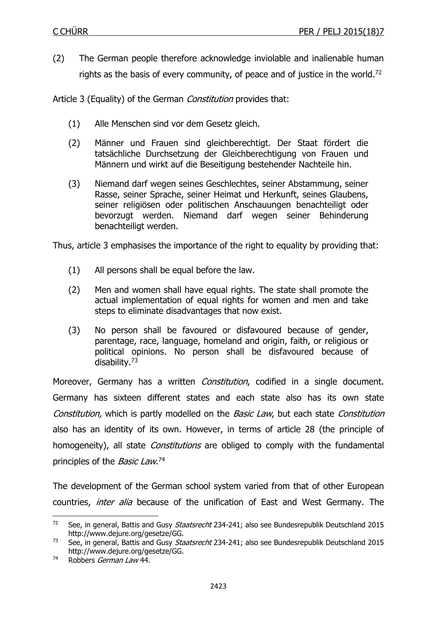(2) The German people therefore acknowledge inviolable and inalienable human rights as the basis of every community, of peace and of justice in the world.<sup>72</sup>

Article 3 (Equality) of the German *Constitution* provides that:

- (1) Alle Menschen sind vor dem Gesetz gleich.
- (2) Männer und Frauen sind gleichberechtigt. Der Staat fördert die tatsächliche Durchsetzung der Gleichberechtigung von Frauen und Männern und wirkt auf die Beseitigung bestehender Nachteile hin.
- (3) Niemand darf wegen seines Geschlechtes, seiner Abstammung, seiner Rasse, seiner Sprache, seiner Heimat und Herkunft, seines Glaubens, seiner religiösen oder politischen Anschauungen benachteiligt oder bevorzugt werden. Niemand darf wegen seiner Behinderung benachteiligt werden.

Thus, article 3 emphasises the importance of the right to equality by providing that:

- (1) All persons shall be equal before the law.
- (2) Men and women shall have equal rights. The state shall promote the actual implementation of equal rights for women and men and take steps to eliminate disadvantages that now exist.
- (3) No person shall be favoured or disfavoured because of gender, parentage, race, language, homeland and origin, faith, or religious or political opinions. No person shall be disfavoured because of disability.<sup>73</sup>

Moreover, Germany has a written *Constitution*, codified in a single document. Germany has sixteen different states and each state also has its own state Constitution, which is partly modelled on the Basic Law, but each state Constitution also has an identity of its own. However, in terms of article 28 (the principle of homogeneity), all state *Constitutions* are obliged to comply with the fundamental principles of the *Basic Law*.<sup>74</sup>

The development of the German school system varied from that of other European countries, inter alia because of the unification of East and West Germany. The

1

<sup>&</sup>lt;sup>72</sup> See, in general, Battis and Gusy Staatsrecht 234-241; also see Bundesrepublik Deutschland 2015 http://www.dejure.org/gesetze/GG.

 $\frac{73}{2}$  See, in general, Battis and Gusy *Staatsrecht* 234-241; also see Bundesrepublik Deutschland 2015 http://www.dejure.org/gesetze/GG.

<sup>74</sup> Robbers German Law 44.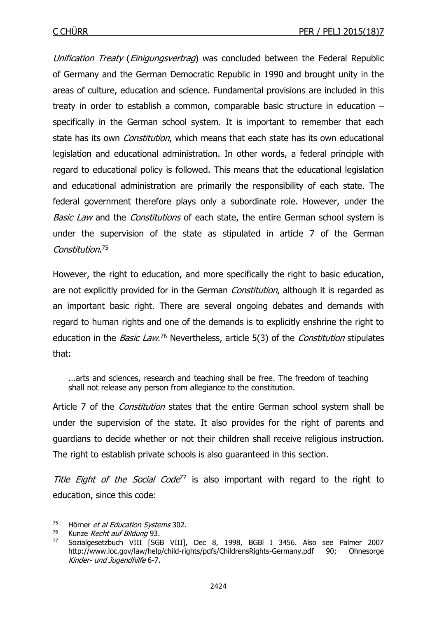Unification Treaty (Einigungsvertrag) was concluded between the Federal Republic of Germany and the German Democratic Republic in 1990 and brought unity in the areas of culture, education and science. Fundamental provisions are included in this treaty in order to establish a common, comparable basic structure in education – specifically in the German school system. It is important to remember that each state has its own *Constitution*, which means that each state has its own educational legislation and educational administration. In other words, a federal principle with regard to educational policy is followed. This means that the educational legislation and educational administration are primarily the responsibility of each state. The federal government therefore plays only a subordinate role. However, under the Basic Law and the *Constitutions* of each state, the entire German school system is under the supervision of the state as stipulated in article 7 of the German Constitution. 75

However, the right to education, and more specifically the right to basic education, are not explicitly provided for in the German *Constitution*, although it is regarded as an important basic right. There are several ongoing debates and demands with regard to human rights and one of the demands is to explicitly enshrine the right to education in the *Basic Law*.<sup>76</sup> Nevertheless, article 5(3) of the *Constitution* stipulates that:

...arts and sciences, research and teaching shall be free. The freedom of teaching shall not release any person from allegiance to the constitution.

Article 7 of the *Constitution* states that the entire German school system shall be under the supervision of the state. It also provides for the right of parents and guardians to decide whether or not their children shall receive religious instruction. The right to establish private schools is also guaranteed in this section.

Title Eight of the Social Code<sup>77</sup> is also important with regard to the right to education, since this code:

1

 $^{75}$  Hörner *et al Education Systems* 302.

 $^{76}$  Kunze *Recht auf Bildung* 93.

<sup>77</sup> Sozialgesetzbuch VIII [SGB VIII], Dec 8, 1998, BGBl I 3456. Also see Palmer 2007 http://www.loc.gov/law/help/child-rights/pdfs/ChildrensRights-Germany.pdf 90; Ohnesorge Kinder- und Jugendhilfe 6-7.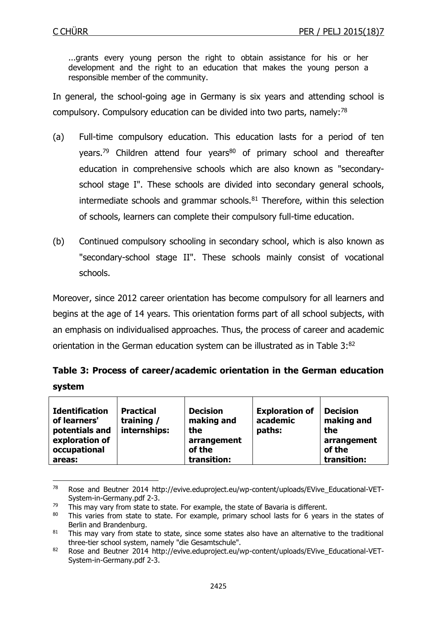...grants every young person the right to obtain assistance for his or her development and the right to an education that makes the young person a responsible member of the community.

In general, the school-going age in Germany is six years and attending school is compulsory. Compulsory education can be divided into two parts, namely:<sup>78</sup>

- (a) Full-time compulsory education. This education lasts for a period of ten years.<sup>79</sup> Children attend four years<sup>80</sup> of primary school and thereafter education in comprehensive schools which are also known as "secondaryschool stage I". These schools are divided into secondary general schools, intermediate schools and grammar schools. $81$  Therefore, within this selection of schools, learners can complete their compulsory full-time education.
- (b) Continued compulsory schooling in secondary school, which is also known as "secondary-school stage II". These schools mainly consist of vocational schools.

Moreover, since 2012 career orientation has become compulsory for all learners and begins at the age of 14 years. This orientation forms part of all school subjects, with an emphasis on individualised approaches. Thus, the process of career and academic orientation in the German education system can be illustrated as in Table 3:82

| Table 3: Process of career/academic orientation in the German education |  |  |
|-------------------------------------------------------------------------|--|--|
| system                                                                  |  |  |

| <b>Identification</b><br>of learners'<br>potentials and<br>exploration of<br>occupational<br>areas: | <b>Practical</b><br>training /<br>internships: | <b>Decision</b><br>making and<br>the<br>arrangement<br>of the<br>transition: | <b>Exploration of</b><br>academic<br>paths: | <b>Decision</b><br>making and<br>the<br>arrangement<br>of the<br>transition: |
|-----------------------------------------------------------------------------------------------------|------------------------------------------------|------------------------------------------------------------------------------|---------------------------------------------|------------------------------------------------------------------------------|
|-----------------------------------------------------------------------------------------------------|------------------------------------------------|------------------------------------------------------------------------------|---------------------------------------------|------------------------------------------------------------------------------|

**<sup>.</sup>** <sup>78</sup> Rose and Beutner 2014 http://evive.eduproject.eu/wp-content/uploads/EVive\_Educational-VET-System-in-Germany.pdf 2-3.

 $79$  This may vary from state to state. For example, the state of Bavaria is different.

<sup>80</sup> This varies from state to state. For example, primary school lasts for 6 years in the states of Berlin and Brandenburg.

 $81$  This may vary from state to state, since some states also have an alternative to the traditional three-tier school system, namely "die Gesamtschule".

<sup>82</sup> Rose and Beutner 2014 http://evive.eduproject.eu/wp-content/uploads/EVive Educational-VET-System-in-Germany.pdf 2-3.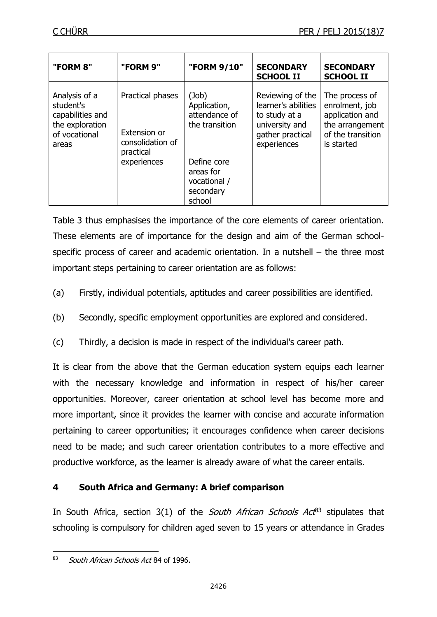| "FORM 8"                                                                                    | "FORM 9"                                                          | "FORM 9/10"                                                     | <b>SECONDARY</b><br><b>SCHOOL II</b>                                                                          | <b>SECONDARY</b><br><b>SCHOOL II</b>                                                                      |
|---------------------------------------------------------------------------------------------|-------------------------------------------------------------------|-----------------------------------------------------------------|---------------------------------------------------------------------------------------------------------------|-----------------------------------------------------------------------------------------------------------|
| Analysis of a<br>student's<br>capabilities and<br>the exploration<br>of vocational<br>areas | Practical phases<br>Extension or<br>consolidation of<br>practical | (Job)<br>Application,<br>attendance of<br>the transition        | Reviewing of the<br>learner's abilities<br>to study at a<br>university and<br>gather practical<br>experiences | The process of<br>enrolment, job<br>application and<br>the arrangement<br>of the transition<br>is started |
|                                                                                             | experiences                                                       | Define core<br>areas for<br>vocational /<br>secondary<br>school |                                                                                                               |                                                                                                           |

Table 3 thus emphasises the importance of the core elements of career orientation. These elements are of importance for the design and aim of the German schoolspecific process of career and academic orientation. In a nutshell – the three most important steps pertaining to career orientation are as follows:

- (a) Firstly, individual potentials, aptitudes and career possibilities are identified.
- (b) Secondly, specific employment opportunities are explored and considered.
- (c) Thirdly, a decision is made in respect of the individual's career path.

It is clear from the above that the German education system equips each learner with the necessary knowledge and information in respect of his/her career opportunities. Moreover, career orientation at school level has become more and more important, since it provides the learner with concise and accurate information pertaining to career opportunities; it encourages confidence when career decisions need to be made; and such career orientation contributes to a more effective and productive workforce, as the learner is already aware of what the career entails.

# **4 South Africa and Germany: A brief comparison**

In South Africa, section 3(1) of the *South African Schools Act*<sup>83</sup> stipulates that schooling is compulsory for children aged seven to 15 years or attendance in Grades

**<sup>.</sup>** 83 South African Schools Act 84 of 1996.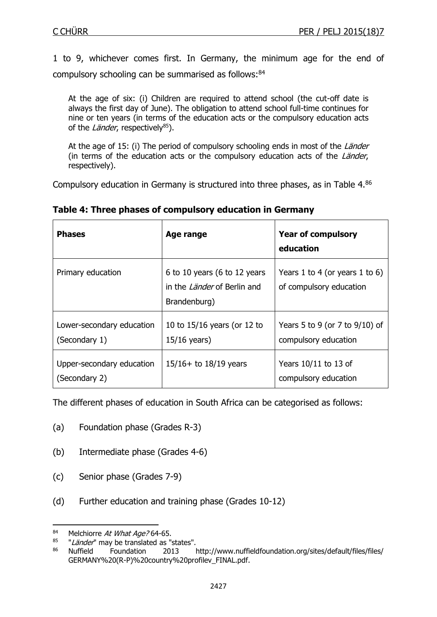1 to 9, whichever comes first. In Germany, the minimum age for the end of compulsory schooling can be summarised as follows: 84

At the age of six: (i) Children are required to attend school (the cut-off date is always the first day of June). The obligation to attend school full-time continues for nine or ten years (in terms of the education acts or the compulsory education acts of the Länder, respectively<sup>85</sup>).

At the age of 15: (i) The period of compulsory schooling ends in most of the Länder (in terms of the education acts or the compulsory education acts of the Länder, respectively).

Compulsory education in Germany is structured into three phases, as in Table 4.<sup>86</sup>

| <b>Phases</b>                              | Age range                                                                          | <b>Year of compulsory</b><br>education                    |
|--------------------------------------------|------------------------------------------------------------------------------------|-----------------------------------------------------------|
| Primary education                          | 6 to 10 years (6 to 12 years<br>in the <i>Länder</i> of Berlin and<br>Brandenburg) | Years 1 to 4 (or years 1 to 6)<br>of compulsory education |
| Lower-secondary education<br>(Secondary 1) | 10 to 15/16 years (or 12 to<br>$15/16$ years)                                      | Years 5 to 9 (or 7 to 9/10) of<br>compulsory education    |
| Upper-secondary education<br>(Secondary 2) | 15/16+ to 18/19 years                                                              | Years 10/11 to 13 of<br>compulsory education              |

**Table 4: Three phases of compulsory education in Germany**

The different phases of education in South Africa can be categorised as follows:

- (a) Foundation phase (Grades R-3)
- (b) Intermediate phase (Grades 4-6)
- (c) Senior phase (Grades 7-9)
- (d) Further education and training phase (Grades 10-12)

**<sup>.</sup>** 84 Melchiorre At What Age? 64-65.

<sup>85</sup> "Länder" may be translated as "states".

<sup>86</sup> Nuffield Foundation 2013 http://www.nuffieldfoundation.org/sites/default/files/files/ GERMANY%20(R-P)%20country%20profilev\_FINAL.pdf.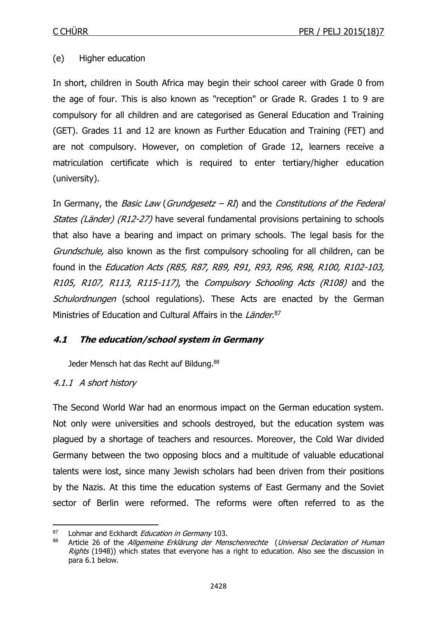(e) Higher education

In short, children in South Africa may begin their school career with Grade 0 from the age of four. This is also known as "reception" or Grade R. Grades 1 to 9 are compulsory for all children and are categorised as General Education and Training (GET). Grades 11 and 12 are known as Further Education and Training (FET) and are not compulsory. However, on completion of Grade 12, learners receive a matriculation certificate which is required to enter tertiary/higher education (university).

In Germany, the *Basic Law* (*Grundgesetz – RI*) and the *Constitutions of the Federal* States (Länder) (R12-27) have several fundamental provisions pertaining to schools that also have a bearing and impact on primary schools. The legal basis for the Grundschule, also known as the first compulsory schooling for all children, can be found in the Education Acts (R85, R87, R89, R91, R93, R96, R98, R100, R102-103, R105, R107, R113, R115-117), the Compulsory Schooling Acts (R108) and the Schulordnungen (school regulations). These Acts are enacted by the German Ministries of Education and Cultural Affairs in the Länder.<sup>87</sup>

#### **4.1 The education/school system in Germany**

Jeder Mensch hat das Recht auf Bildung.<sup>88</sup>

#### 4.1.1 A short history

**.** 

The Second World War had an enormous impact on the German education system. Not only were universities and schools destroyed, but the education system was plagued by a shortage of teachers and resources. Moreover, the Cold War divided Germany between the two opposing blocs and a multitude of valuable educational talents were lost, since many Jewish scholars had been driven from their positions by the Nazis. At this time the education systems of East Germany and the Soviet sector of Berlin were reformed. The reforms were often referred to as the

<sup>87</sup> Lohmar and Eckhardt *Education in Germany* 103.

Article 26 of the Allgemeine Erklärung der Menschenrechte (Universal Declaration of Human Rights (1948)) which states that everyone has a right to education. Also see the discussion in para 6.1 below.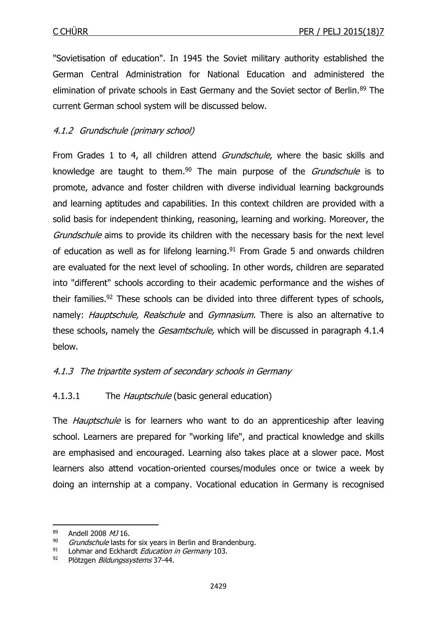"Sovietisation of education". In 1945 the Soviet military authority established the German Central Administration for National Education and administered the elimination of private schools in East Germany and the Soviet sector of Berlin.<sup>89</sup> The current German school system will be discussed below.

# 4.1.2 Grundschule (primary school)

From Grades 1 to 4, all children attend *Grundschule*, where the basic skills and knowledge are taught to them.<sup>90</sup> The main purpose of the *Grundschule* is to promote, advance and foster children with diverse individual learning backgrounds and learning aptitudes and capabilities. In this context children are provided with a solid basis for independent thinking, reasoning, learning and working. Moreover, the Grundschule aims to provide its children with the necessary basis for the next level of education as well as for lifelong learning. $91$  From Grade 5 and onwards children are evaluated for the next level of schooling. In other words, children are separated into "different" schools according to their academic performance and the wishes of their families.<sup>92</sup> These schools can be divided into three different types of schools, namely: Hauptschule, Realschule and Gymnasium. There is also an alternative to these schools, namely the *Gesamtschule*, which will be discussed in paragraph 4.1.4 below.

# 4.1.3 The tripartite system of secondary schools in Germany

#### 4.1.3.1 The *Hauptschule* (basic general education)

The *Hauptschule* is for learners who want to do an apprenticeship after leaving school. Learners are prepared for "working life", and practical knowledge and skills are emphasised and encouraged. Learning also takes place at a slower pace. Most learners also attend vocation-oriented courses/modules once or twice a week by doing an internship at a company. Vocational education in Germany is recognised

 $^{89}$  Andell 2008 *MJ* 16.<br><sup>90</sup> Grundschule lasts fu

Grundschule lasts for six years in Berlin and Brandenburg.

 $91$  Lohmar and Eckhardt *Education in Germany* 103.

<sup>92</sup> Plötzgen Bildungssystems 37-44.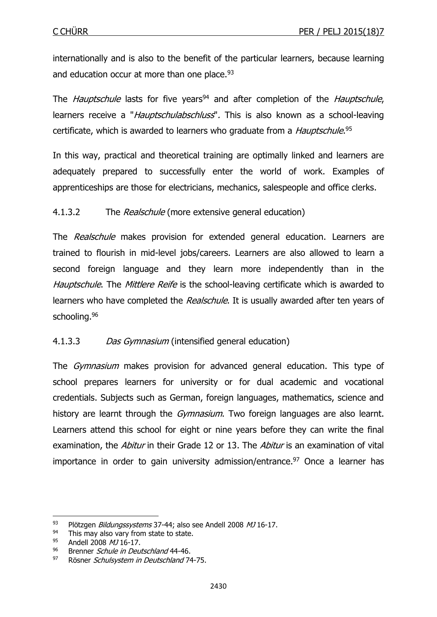internationally and is also to the benefit of the particular learners, because learning and education occur at more than one place.<sup>93</sup>

The *Hauptschule* lasts for five years<sup>94</sup> and after completion of the *Hauptschule*, learners receive a "*Hauptschulabschluss*". This is also known as a school-leaving certificate, which is awarded to learners who graduate from a *Hauptschule*.<sup>95</sup>

In this way, practical and theoretical training are optimally linked and learners are adequately prepared to successfully enter the world of work. Examples of apprenticeships are those for electricians, mechanics, salespeople and office clerks.

#### 4.1.3.2 The *Realschule* (more extensive general education)

The Realschule makes provision for extended general education. Learners are trained to flourish in mid-level jobs/careers. Learners are also allowed to learn a second foreign language and they learn more independently than in the Hauptschule. The Mittlere Reife is the school-leaving certificate which is awarded to learners who have completed the Realschule. It is usually awarded after ten years of schooling.<sup>96</sup>

#### 4.1.3.3 Das Gymnasium (intensified general education)

The *Gymnasium* makes provision for advanced general education. This type of school prepares learners for university or for dual academic and vocational credentials. Subjects such as German, foreign languages, mathematics, science and history are learnt through the *Gymnasium*. Two foreign languages are also learnt. Learners attend this school for eight or nine years before they can write the final examination, the Abitur in their Grade 12 or 13. The Abitur is an examination of vital importance in order to gain university admission/entrance. $97$  Once a learner has

1

<sup>93</sup> Plötzgen *Bildungssystems* 37-44; also see Andell 2008  $MJ$  16-17.

<sup>&</sup>lt;sup>94</sup> This may also vary from state to state.<br><sup>95</sup> Andell 2008 *M1*16-17

Andell 2008 *MJ* 16-17.

<sup>96</sup> Brenner *Schule in Deutschland* 44-46.

<sup>97</sup> Rösner Schulsystem in Deutschland 74-75.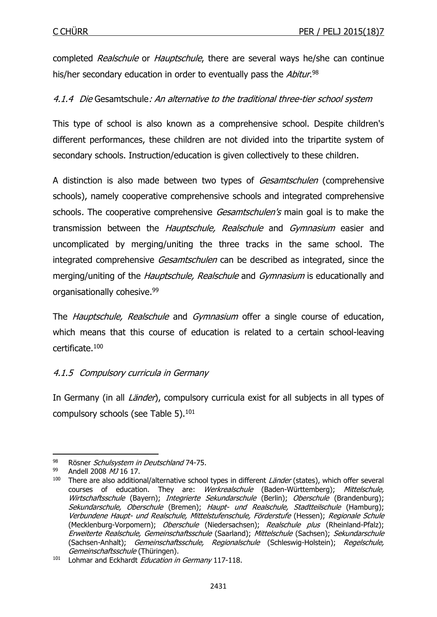completed Realschule or Hauptschule, there are several ways he/she can continue his/her secondary education in order to eventually pass the Abitur.<sup>98</sup>

4.1.4 Die Gesamtschule: An alternative to the traditional three-tier school system

This type of school is also known as a comprehensive school. Despite children's different performances, these children are not divided into the tripartite system of secondary schools. Instruction/education is given collectively to these children.

A distinction is also made between two types of *Gesamtschulen* (comprehensive schools), namely cooperative comprehensive schools and integrated comprehensive schools. The cooperative comprehensive *Gesamtschulen's* main goal is to make the transmission between the *Hauptschule, Realschule* and *Gymnasium* easier and uncomplicated by merging/uniting the three tracks in the same school. The integrated comprehensive *Gesamtschulen* can be described as integrated, since the merging/uniting of the *Hauptschule, Realschule* and *Gymnasium* is educationally and organisationally cohesive.<sup>99</sup>

The *Hauptschule, Realschule* and *Gymnasium* offer a single course of education, which means that this course of education is related to a certain school-leaving certificate.<sup>100</sup>

#### 4.1.5 Compulsory curricula in Germany

In Germany (in all *Länder*), compulsory curricula exist for all subjects in all types of compulsory schools (see Table 5).<sup>101</sup>

**<sup>.</sup>** 98 Rösner Schulsystem in Deutschland 74-75.

<sup>99</sup> Andell 2008 MJ 16 17.

<sup>&</sup>lt;sup>100</sup> There are also additional/alternative school types in different *Länder* (states), which offer several courses of education. They are: Werkrealschule (Baden-Württemberg); Mittelschule, Wirtschaftsschule (Bayern); Integrierte Sekundarschule (Berlin); Oberschule (Brandenburg); Sekundarschule, Oberschule (Bremen); Haupt- und Realschule, Stadtteilschule (Hamburg); Verbundene Haupt- und Realschule, Mittelstufenschule, Förderstufe (Hessen); Regionale Schule (Mecklenburg-Vorpomern); Oberschule (Niedersachsen); Realschule plus (Rheinland-Pfalz); Erweiterte Realschule, Gemeinschaftsschule (Saarland); Mittelschule (Sachsen); Sekundarschule (Sachsen-Anhalt); Gemeinschaftsschule, Regionalschule (Schleswig-Holstein); Regelschule, Gemeinschaftsschule (Thüringen).

<sup>&</sup>lt;sup>101</sup> Lohmar and Eckhardt Education in Germany 117-118.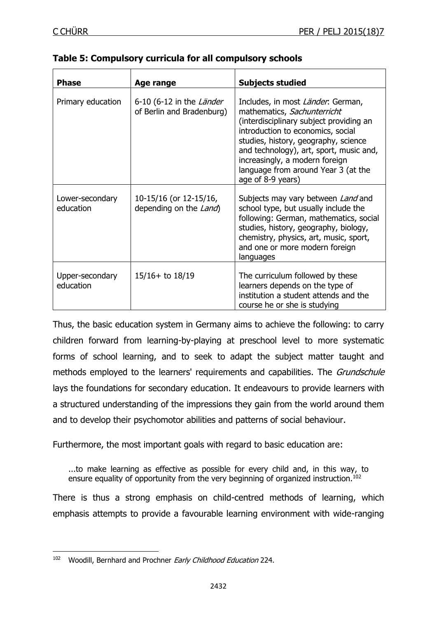| <b>Phase</b>                 | Age range                                             | <b>Subjects studied</b>                                                                                                                                                                                                                                                                                                           |
|------------------------------|-------------------------------------------------------|-----------------------------------------------------------------------------------------------------------------------------------------------------------------------------------------------------------------------------------------------------------------------------------------------------------------------------------|
| Primary education            | 6-10 (6-12 in the Länder<br>of Berlin and Bradenburg) | Includes, in most Länder. German,<br>mathematics, Sachunterricht<br>(interdisciplinary subject providing an<br>introduction to economics, social<br>studies, history, geography, science<br>and technology), art, sport, music and,<br>increasingly, a modern foreign<br>language from around Year 3 (at the<br>age of 8-9 years) |
| Lower-secondary<br>education | $10-15/16$ (or $12-15/16$ ,<br>depending on the Land) | Subjects may vary between Land and<br>school type, but usually include the<br>following: German, mathematics, social<br>studies, history, geography, biology,<br>chemistry, physics, art, music, sport,<br>and one or more modern foreign<br>languages                                                                            |
| Upper-secondary<br>education | $15/16+$ to $18/19$                                   | The curriculum followed by these<br>learners depends on the type of<br>institution a student attends and the<br>course he or she is studying                                                                                                                                                                                      |

# **Table 5: Compulsory curricula for all compulsory schools**

Thus, the basic education system in Germany aims to achieve the following: to carry children forward from learning-by-playing at preschool level to more systematic forms of school learning, and to seek to adapt the subject matter taught and methods employed to the learners' requirements and capabilities. The *Grundschule* lays the foundations for secondary education. It endeavours to provide learners with a structured understanding of the impressions they gain from the world around them and to develop their psychomotor abilities and patterns of social behaviour.

Furthermore, the most important goals with regard to basic education are:

...to make learning as effective as possible for every child and, in this way, to ensure equality of opportunity from the very beginning of organized instruction.<sup>102</sup>

There is thus a strong emphasis on child-centred methods of learning, which emphasis attempts to provide a favourable learning environment with wide-ranging

**<sup>.</sup>** <sup>102</sup> Woodill, Bernhard and Prochner Early Childhood Education 224.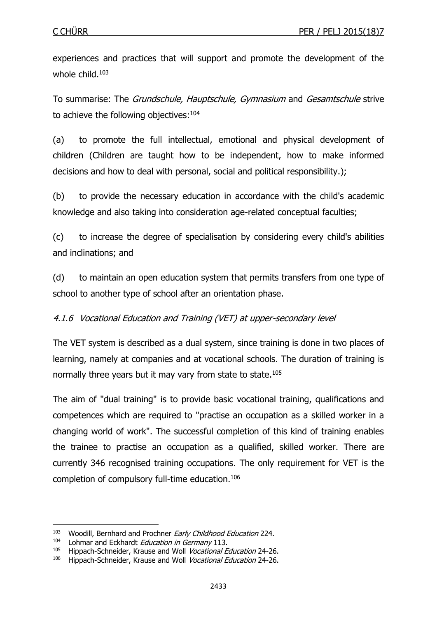experiences and practices that will support and promote the development of the whole child.<sup>103</sup>

To summarise: The Grundschule, Hauptschule, Gymnasium and Gesamtschule strive to achieve the following objectives: $104$ 

(a) to promote the full intellectual, emotional and physical development of children (Children are taught how to be independent, how to make informed decisions and how to deal with personal, social and political responsibility.);

(b) to provide the necessary education in accordance with the child's academic knowledge and also taking into consideration age-related conceptual faculties;

(c) to increase the degree of specialisation by considering every child's abilities and inclinations; and

(d) to maintain an open education system that permits transfers from one type of school to another type of school after an orientation phase.

# 4.1.6 Vocational Education and Training (VET) at upper-secondary level

The VET system is described as a dual system, since training is done in two places of learning, namely at companies and at vocational schools. The duration of training is normally three years but it may vary from state to state.<sup>105</sup>

The aim of "dual training" is to provide basic vocational training, qualifications and competences which are required to "practise an occupation as a skilled worker in a changing world of work". The successful completion of this kind of training enables the trainee to practise an occupation as a qualified, skilled worker. There are currently 346 recognised training occupations. The only requirement for VET is the completion of compulsory full-time education.<sup>106</sup>

<sup>&</sup>lt;sup>103</sup> Woodill, Bernhard and Prochner *Early Childhood Education* 224.

Lohmar and Eckhardt Education in Germany 113.

<sup>105</sup> Hippach-Schneider, Krause and Woll Vocational Education 24-26.

<sup>&</sup>lt;sup>106</sup> Hippach-Schneider, Krause and Woll Vocational Education 24-26.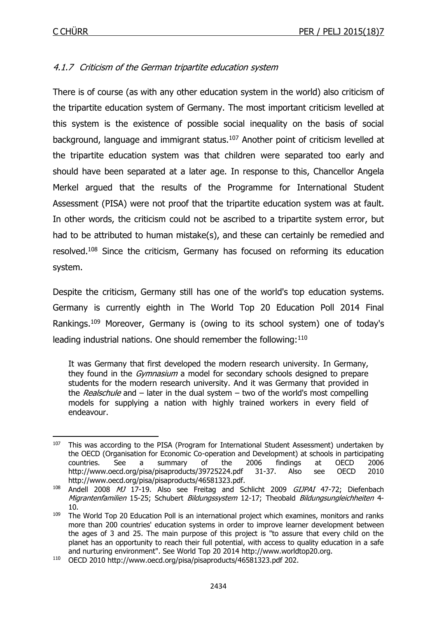# 4.1.7 Criticism of the German tripartite education system

There is of course (as with any other education system in the world) also criticism of the tripartite education system of Germany. The most important criticism levelled at this system is the existence of possible social inequality on the basis of social background, language and immigrant status.<sup>107</sup> Another point of criticism levelled at the tripartite education system was that children were separated too early and should have been separated at a later age. In response to this, Chancellor Angela Merkel argued that the results of the Programme for International Student Assessment (PISA) were not proof that the tripartite education system was at fault. In other words, the criticism could not be ascribed to a tripartite system error, but had to be attributed to human mistake(s), and these can certainly be remedied and resolved.<sup>108</sup> Since the criticism, Germany has focused on reforming its education system.

Despite the criticism, Germany still has one of the world's top education systems. Germany is currently eighth in The World Top 20 Education Poll 2014 Final Rankings.<sup>109</sup> Moreover, Germany is (owing to its school system) one of today's leading industrial nations. One should remember the following:<sup>110</sup>

It was Germany that first developed the modern research university. In Germany, they found in the *Gymnasium* a model for secondary schools designed to prepare students for the modern research university. And it was Germany that provided in the Realschule and – later in the dual system – two of the world's most compelling models for supplying a nation with highly trained workers in every field of endeavour.

**<sup>.</sup>**  $107$  This was according to the PISA (Program for International Student Assessment) undertaken by the OECD (Organisation for Economic Co-operation and Development) at schools in participating countries. See a summary of the 2006 findings at OECD 2006 http://www.oecd.org/pisa/pisaproducts/39725224.pdf 31-37. Also see OECD 2010 http://www.oecd.org/pisa/pisaproducts/46581323.pdf.

<sup>&</sup>lt;sup>108</sup> Andell 2008 *MJ* 17-19. Also see Freitag and Schlicht 2009 *GIJPAI* 47-72; Diefenbach Migrantenfamilien 15-25; Schubert Bildungssystem 12-17; Theobald Bildungsungleichheiten 4-10.

 $109$  The World Top 20 Education Poll is an international project which examines, monitors and ranks more than 200 countries' education systems in order to improve learner development between the ages of 3 and 25. The main purpose of this project is "to assure that every child on the planet has an opportunity to reach their full potential, with access to quality education in a safe and nurturing environment". See World Top 20 2014 http://www.worldtop20.org.

<sup>110</sup> OECD 2010 http://www.oecd.org/pisa/pisaproducts/46581323.pdf 202.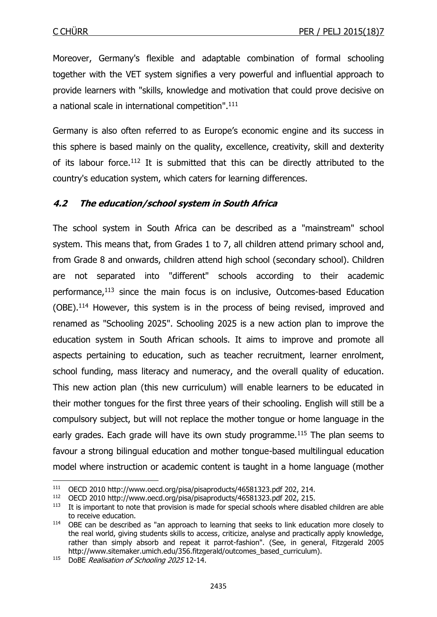Moreover, Germany's flexible and adaptable combination of formal schooling together with the VET system signifies a very powerful and influential approach to provide learners with "skills, knowledge and motivation that could prove decisive on a national scale in international competition".<sup>111</sup>

Germany is also often referred to as Europe's economic engine and its success in this sphere is based mainly on the quality, excellence, creativity, skill and dexterity of its labour force.<sup>112</sup> It is submitted that this can be directly attributed to the country's education system, which caters for learning differences.

# **4.2 The education/school system in South Africa**

The school system in South Africa can be described as a "mainstream" school system. This means that, from Grades 1 to 7, all children attend primary school and, from Grade 8 and onwards, children attend high school (secondary school). Children are not separated into "different" schools according to their academic performance, <sup>113</sup> since the main focus is on inclusive, Outcomes-based Education (OBE).<sup>114</sup> However, this system is in the process of being revised, improved and renamed as "Schooling 2025". Schooling 2025 is a new action plan to improve the education system in South African schools. It aims to improve and promote all aspects pertaining to education, such as teacher recruitment, learner enrolment, school funding, mass literacy and numeracy, and the overall quality of education. This new action plan (this new curriculum) will enable learners to be educated in their mother tongues for the first three years of their schooling. English will still be a compulsory subject, but will not replace the mother tongue or home language in the early grades. Each grade will have its own study programme.<sup>115</sup> The plan seems to favour a strong bilingual education and mother tongue-based multilingual education model where instruction or academic content is taught in a home language (mother

<sup>111</sup> OECD 2010 http://www.oecd.org/pisa/pisaproducts/46581323.pdf 202, 214.

<sup>112</sup> OECD 2010 http://www.oecd.org/pisa/pisaproducts/46581323.pdf 202, 215.

<sup>&</sup>lt;sup>113</sup> It is important to note that provision is made for special schools where disabled children are able to receive education.

<sup>&</sup>lt;sup>114</sup> OBE can be described as "an approach to learning that seeks to link education more closely to the real world, giving students skills to access, criticize, analyse and practically apply knowledge, rather than simply absorb and repeat it parrot-fashion". (See, in general, Fitzgerald 2005 http://www.sitemaker.umich.edu/356.fitzgerald/outcomes\_based\_curriculum).

<sup>115</sup> DoBE Realisation of Schooling 2025 12-14.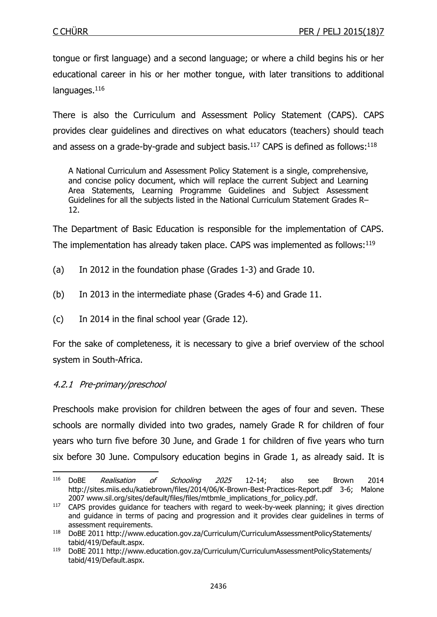tongue or first language) and a second language; or where a child begins his or her educational career in his or her mother tongue, with later transitions to additional languages.<sup>116</sup>

There is also the Curriculum and Assessment Policy Statement (CAPS). CAPS provides clear guidelines and directives on what educators (teachers) should teach and assess on a grade-by-grade and subject basis. $^{117}$  CAPS is defined as follows: $^{118}$ 

A National Curriculum and Assessment Policy Statement is a single, comprehensive, and concise policy document, which will replace the current Subject and Learning Area Statements, Learning Programme Guidelines and Subject Assessment Guidelines for all the subjects listed in the National Curriculum Statement Grades R– 12.

The Department of Basic Education is responsible for the implementation of CAPS. The implementation has already taken place. CAPS was implemented as follows: $119$ 

- (a) In 2012 in the foundation phase (Grades 1-3) and Grade 10.
- (b) In 2013 in the intermediate phase (Grades 4-6) and Grade 11.
- (c) In 2014 in the final school year (Grade 12).

For the sake of completeness, it is necessary to give a brief overview of the school system in South-Africa.

#### 4.2.1 Pre-primary/preschool

Preschools make provision for children between the ages of four and seven. These schools are normally divided into two grades, namely Grade R for children of four years who turn five before 30 June, and Grade 1 for children of five years who turn six before 30 June. Compulsory education begins in Grade 1, as already said. It is

<sup>1</sup> <sup>116</sup> DoBE *Realisation of Schooling 2025* 12-14; also see Brown 2014 http://sites.miis.edu/katiebrown/files/2014/06/K-Brown-Best-Practices-Report.pdf 3-6; Malone 2007 www.sil.org/sites/default/files/files/mtbmle\_implications\_for\_policy.pdf.

<sup>&</sup>lt;sup>117</sup> CAPS provides guidance for teachers with regard to week-by-week planning; it gives direction and guidance in terms of pacing and progression and it provides clear guidelines in terms of assessment requirements.

<sup>118</sup> DoBE 2011 http://www.education.gov.za/Curriculum/CurriculumAssessmentPolicyStatements/ tabid/419/Default.aspx.

<sup>119</sup> DoBE 2011 http://www.education.gov.za/Curriculum/CurriculumAssessmentPolicyStatements/ tabid/419/Default.aspx.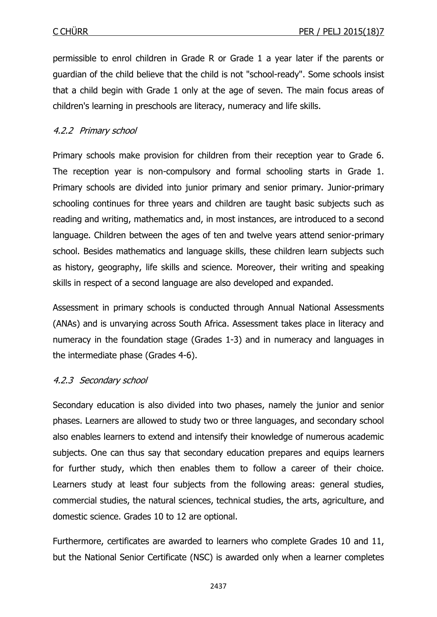permissible to enrol children in Grade R or Grade 1 a year later if the parents or guardian of the child believe that the child is not "school-ready". Some schools insist that a child begin with Grade 1 only at the age of seven. The main focus areas of children's learning in preschools are literacy, numeracy and life skills.

# 4.2.2 Primary school

Primary schools make provision for children from their reception year to Grade 6. The reception year is non-compulsory and formal schooling starts in Grade 1. Primary schools are divided into junior primary and senior primary. Junior-primary schooling continues for three years and children are taught basic subjects such as reading and writing, mathematics and, in most instances, are introduced to a second language. Children between the ages of ten and twelve years attend senior-primary school. Besides mathematics and language skills, these children learn subjects such as history, geography, life skills and science. Moreover, their writing and speaking skills in respect of a second language are also developed and expanded.

Assessment in primary schools is conducted through Annual National Assessments (ANAs) and is unvarying across South Africa. Assessment takes place in literacy and numeracy in the foundation stage (Grades 1-3) and in numeracy and languages in the intermediate phase (Grades 4-6).

#### 4.2.3 Secondary school

Secondary education is also divided into two phases, namely the junior and senior phases. Learners are allowed to study two or three languages, and secondary school also enables learners to extend and intensify their knowledge of numerous academic subjects. One can thus say that secondary education prepares and equips learners for further study, which then enables them to follow a career of their choice. Learners study at least four subjects from the following areas: general studies, commercial studies, the natural sciences, technical studies, the arts, agriculture, and domestic science. Grades 10 to 12 are optional.

Furthermore, certificates are awarded to learners who complete Grades 10 and 11, but the National Senior Certificate (NSC) is awarded only when a learner completes

2437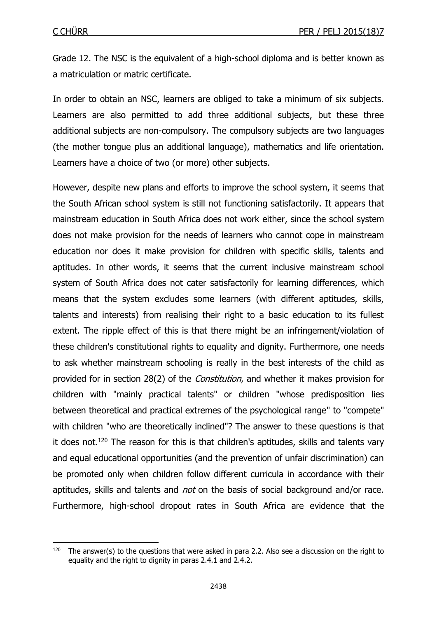**.** 

Grade 12. The NSC is the equivalent of a high-school diploma and is better known as a matriculation or matric certificate.

In order to obtain an NSC, learners are obliged to take a minimum of six subjects. Learners are also permitted to add three additional subjects, but these three additional subjects are non-compulsory. The compulsory subjects are two languages (the mother tongue plus an additional language), mathematics and life orientation. Learners have a choice of two (or more) other subjects.

However, despite new plans and efforts to improve the school system, it seems that the South African school system is still not functioning satisfactorily. It appears that mainstream education in South Africa does not work either, since the school system does not make provision for the needs of learners who cannot cope in mainstream education nor does it make provision for children with specific skills, talents and aptitudes. In other words, it seems that the current inclusive mainstream school system of South Africa does not cater satisfactorily for learning differences, which means that the system excludes some learners (with different aptitudes, skills, talents and interests) from realising their right to a basic education to its fullest extent. The ripple effect of this is that there might be an infringement/violation of these children's constitutional rights to equality and dignity. Furthermore, one needs to ask whether mainstream schooling is really in the best interests of the child as provided for in section 28(2) of the *Constitution*, and whether it makes provision for children with "mainly practical talents" or children "whose predisposition lies between theoretical and practical extremes of the psychological range" to "compete" with children "who are theoretically inclined"? The answer to these questions is that it does not. <sup>120</sup> The reason for this is that children's aptitudes, skills and talents vary and equal educational opportunities (and the prevention of unfair discrimination) can be promoted only when children follow different curricula in accordance with their aptitudes, skills and talents and *not* on the basis of social background and/or race. Furthermore, high-school dropout rates in South Africa are evidence that the

 $120$  The answer(s) to the questions that were asked in para 2.2. Also see a discussion on the right to equality and the right to dignity in paras 2.4.1 and 2.4.2.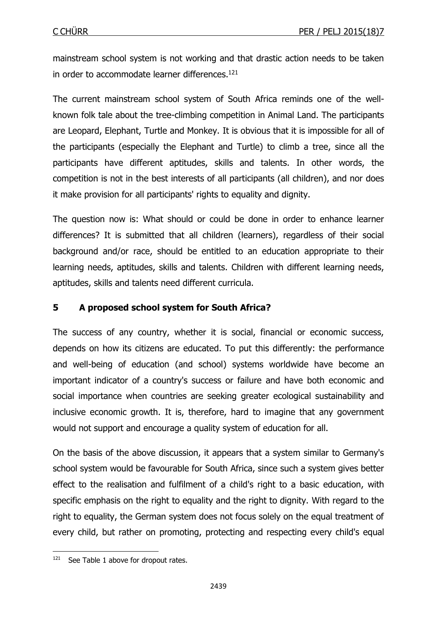mainstream school system is not working and that drastic action needs to be taken in order to accommodate learner differences.<sup>121</sup>

The current mainstream school system of South Africa reminds one of the wellknown folk tale about the tree-climbing competition in Animal Land. The participants are Leopard, Elephant, Turtle and Monkey. It is obvious that it is impossible for all of the participants (especially the Elephant and Turtle) to climb a tree, since all the participants have different aptitudes, skills and talents. In other words, the competition is not in the best interests of all participants (all children), and nor does it make provision for all participants' rights to equality and dignity.

The question now is: What should or could be done in order to enhance learner differences? It is submitted that all children (learners), regardless of their social background and/or race, should be entitled to an education appropriate to their learning needs, aptitudes, skills and talents. Children with different learning needs, aptitudes, skills and talents need different curricula.

# **5 A proposed school system for South Africa?**

The success of any country, whether it is social, financial or economic success, depends on how its citizens are educated. To put this differently: the performance and well-being of education (and school) systems worldwide have become an important indicator of a country's success or failure and have both economic and social importance when countries are seeking greater ecological sustainability and inclusive economic growth. It is, therefore, hard to imagine that any government would not support and encourage a quality system of education for all.

On the basis of the above discussion, it appears that a system similar to Germany's school system would be favourable for South Africa, since such a system gives better effect to the realisation and fulfilment of a child's right to a basic education, with specific emphasis on the right to equality and the right to dignity. With regard to the right to equality, the German system does not focus solely on the equal treatment of every child, but rather on promoting, protecting and respecting every child's equal

 $121$  See Table 1 above for dropout rates.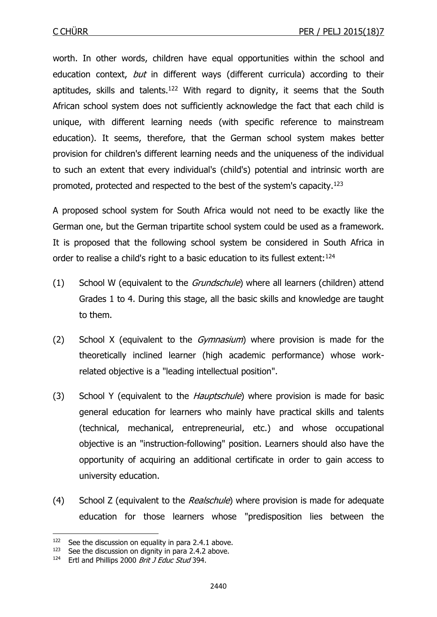worth. In other words, children have equal opportunities within the school and education context, but in different ways (different curricula) according to their aptitudes, skills and talents.<sup>122</sup> With regard to dignity, it seems that the South African school system does not sufficiently acknowledge the fact that each child is unique, with different learning needs (with specific reference to mainstream education). It seems, therefore, that the German school system makes better provision for children's different learning needs and the uniqueness of the individual to such an extent that every individual's (child's) potential and intrinsic worth are promoted, protected and respected to the best of the system's capacity.<sup>123</sup>

A proposed school system for South Africa would not need to be exactly like the German one, but the German tripartite school system could be used as a framework. It is proposed that the following school system be considered in South Africa in order to realise a child's right to a basic education to its fullest extent:  $124$ 

- (1) School W (equivalent to the *Grundschule*) where all learners (children) attend Grades 1 to 4. During this stage, all the basic skills and knowledge are taught to them.
- (2) School X (equivalent to the *Gymnasium*) where provision is made for the theoretically inclined learner (high academic performance) whose workrelated objective is a "leading intellectual position".
- (3) School Y (equivalent to the *Hauptschule*) where provision is made for basic general education for learners who mainly have practical skills and talents (technical, mechanical, entrepreneurial, etc.) and whose occupational objective is an "instruction-following" position. Learners should also have the opportunity of acquiring an additional certificate in order to gain access to university education.
- (4) School Z (equivalent to the Realschule) where provision is made for adequate education for those learners whose "predisposition lies between the

<sup>&</sup>lt;sup>122</sup> See the discussion on equality in para 2.4.1 above.<br><sup>123</sup> See the discussion on dignity in para 2.4.2 above

See the discussion on dignity in para 2.4.2 above.

<sup>&</sup>lt;sup>124</sup> Ertl and Phillips 2000 Brit J Educ Stud 394.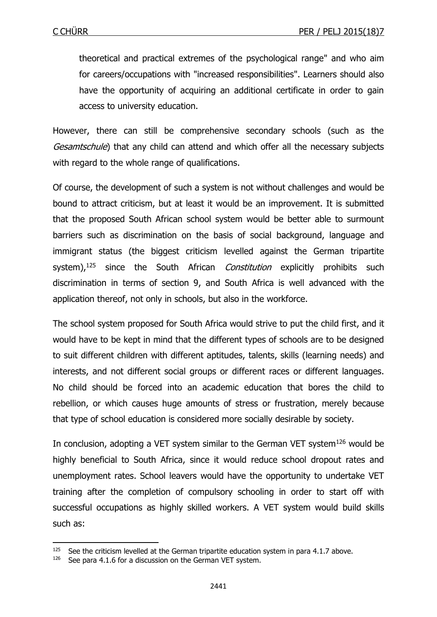theoretical and practical extremes of the psychological range" and who aim for careers/occupations with "increased responsibilities". Learners should also have the opportunity of acquiring an additional certificate in order to gain access to university education.

However, there can still be comprehensive secondary schools (such as the Gesamtschule) that any child can attend and which offer all the necessary subjects with regard to the whole range of qualifications.

Of course, the development of such a system is not without challenges and would be bound to attract criticism, but at least it would be an improvement. It is submitted that the proposed South African school system would be better able to surmount barriers such as discrimination on the basis of social background, language and immigrant status (the biggest criticism levelled against the German tripartite system),<sup>125</sup> since the South African *Constitution* explicitly prohibits such discrimination in terms of section 9, and South Africa is well advanced with the application thereof, not only in schools, but also in the workforce.

The school system proposed for South Africa would strive to put the child first, and it would have to be kept in mind that the different types of schools are to be designed to suit different children with different aptitudes, talents, skills (learning needs) and interests, and not different social groups or different races or different languages. No child should be forced into an academic education that bores the child to rebellion, or which causes huge amounts of stress or frustration, merely because that type of school education is considered more socially desirable by society.

In conclusion, adopting a VET system similar to the German VET system<sup>126</sup> would be highly beneficial to South Africa, since it would reduce school dropout rates and unemployment rates. School leavers would have the opportunity to undertake VET training after the completion of compulsory schooling in order to start off with successful occupations as highly skilled workers. A VET system would build skills such as:

<sup>&</sup>lt;sup>125</sup> See the criticism levelled at the German tripartite education system in para 4.1.7 above.<br><sup>126</sup> See para 4.1.6 for a discussion on the German VFT system

See para 4.1.6 for a discussion on the German VET system.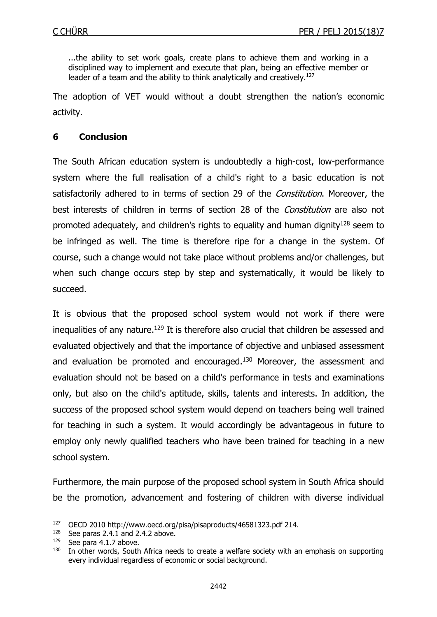...the ability to set work goals, create plans to achieve them and working in a disciplined way to implement and execute that plan, being an effective member or leader of a team and the ability to think analytically and creatively.<sup>127</sup>

The adoption of VET would without a doubt strengthen the nation's economic activity.

# **6 Conclusion**

The South African education system is undoubtedly a high-cost, low-performance system where the full realisation of a child's right to a basic education is not satisfactorily adhered to in terms of section 29 of the *Constitution*. Moreover, the best interests of children in terms of section 28 of the *Constitution* are also not promoted adequately, and children's rights to equality and human dignity $128$  seem to be infringed as well. The time is therefore ripe for a change in the system. Of course, such a change would not take place without problems and/or challenges, but when such change occurs step by step and systematically, it would be likely to succeed.

It is obvious that the proposed school system would not work if there were inequalities of any nature.<sup>129</sup> It is therefore also crucial that children be assessed and evaluated objectively and that the importance of objective and unbiased assessment and evaluation be promoted and encouraged.<sup>130</sup> Moreover, the assessment and evaluation should not be based on a child's performance in tests and examinations only, but also on the child's aptitude, skills, talents and interests. In addition, the success of the proposed school system would depend on teachers being well trained for teaching in such a system. It would accordingly be advantageous in future to employ only newly qualified teachers who have been trained for teaching in a new school system.

Furthermore, the main purpose of the proposed school system in South Africa should be the promotion, advancement and fostering of children with diverse individual

1

<sup>&</sup>lt;sup>127</sup> OECD 2010 http://www.oecd.org/pisa/pisaproducts/46581323.pdf 214.<br><sup>128</sup> See paras 2.4.1 and 2.4.2 above

<sup>&</sup>lt;sup>128</sup> See paras 2.4.1 and 2.4.2 above.<br><sup>129</sup> See para 4.1.7 above.

See para 4.1.7 above.

 $130$  In other words, South Africa needs to create a welfare society with an emphasis on supporting every individual regardless of economic or social background.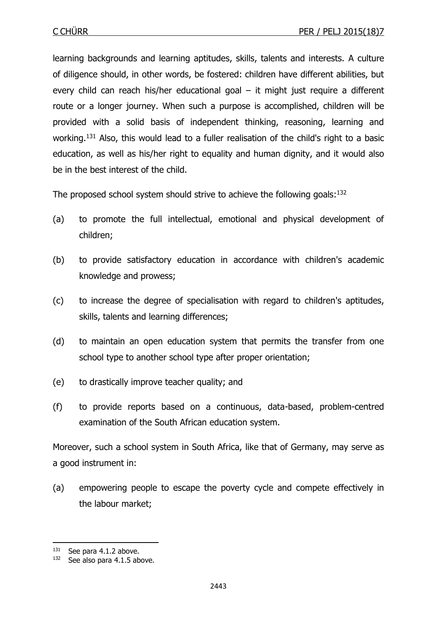learning backgrounds and learning aptitudes, skills, talents and interests. A culture of diligence should, in other words, be fostered: children have different abilities, but every child can reach his/her educational goal – it might just require a different route or a longer journey. When such a purpose is accomplished, children will be provided with a solid basis of independent thinking, reasoning, learning and working.<sup>131</sup> Also, this would lead to a fuller realisation of the child's right to a basic education, as well as his/her right to equality and human dignity, and it would also be in the best interest of the child.

The proposed school system should strive to achieve the following goals:  $132$ 

- (a) to promote the full intellectual, emotional and physical development of children;
- (b) to provide satisfactory education in accordance with children's academic knowledge and prowess;
- (c) to increase the degree of specialisation with regard to children's aptitudes, skills, talents and learning differences;
- (d) to maintain an open education system that permits the transfer from one school type to another school type after proper orientation;
- (e) to drastically improve teacher quality; and
- (f) to provide reports based on a continuous, data-based, problem-centred examination of the South African education system.

Moreover, such a school system in South Africa, like that of Germany, may serve as a good instrument in:

(a) empowering people to escape the poverty cycle and compete effectively in the labour market;

<sup>&</sup>lt;sup>131</sup> See para 4.1.2 above.

<sup>132</sup> See also para 4.1.5 above.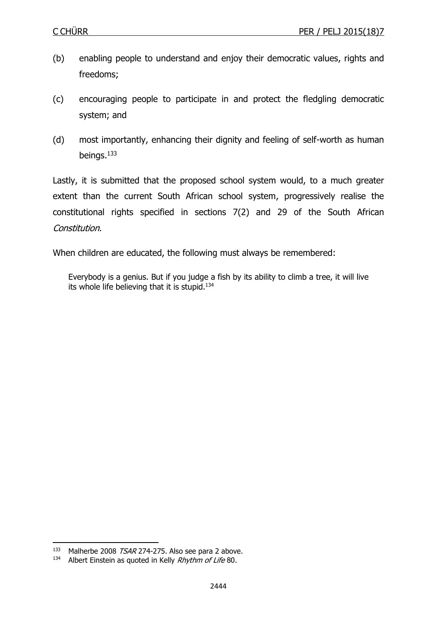- (b) enabling people to understand and enjoy their democratic values, rights and freedoms;
- (c) encouraging people to participate in and protect the fledgling democratic system; and
- (d) most importantly, enhancing their dignity and feeling of self-worth as human beings.<sup>133</sup>

Lastly, it is submitted that the proposed school system would, to a much greater extent than the current South African school system, progressively realise the constitutional rights specified in sections 7(2) and 29 of the South African Constitution.

When children are educated, the following must always be remembered:

Everybody is a genius. But if you judge a fish by its ability to climb a tree, it will live its whole life believing that it is stupid.<sup>134</sup>

**<sup>.</sup>** 133 Malherbe 2008 TSAR 274-275. Also see para 2 above.

 $134$  Albert Einstein as quoted in Kelly Rhythm of Life 80.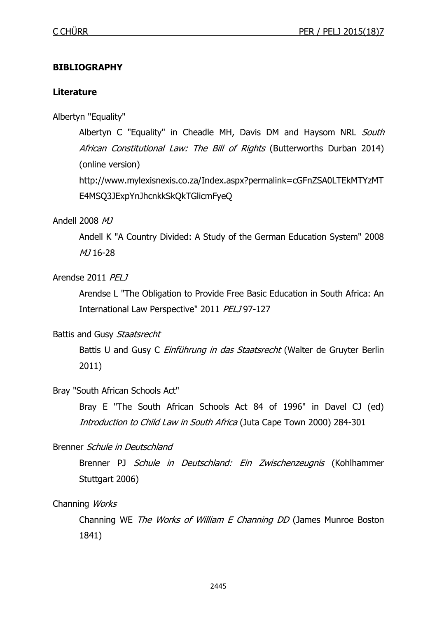# **BIBLIOGRAPHY**

#### **Literature**

Albertyn "Equality"

Albertyn C "Equality" in Cheadle MH, Davis DM and Haysom NRL South African Constitutional Law: The Bill of Rights (Butterworths Durban 2014) (online version)

http://www.mylexisnexis.co.za/Index.aspx?permalink=cGFnZSA0LTEkMTYzMT E4MSQ3JExpYnJhcnkkSkQkTGlicmFyeQ

#### Andell 2008 MJ

Andell K "A Country Divided: A Study of the German Education System" 2008 MJ 16-28

#### Arendse 2011 PFI 1

Arendse L "The Obligation to Provide Free Basic Education in South Africa: An International Law Perspective" 2011 PELJ 97-127

#### Battis and Gusy Staatsrecht

Battis U and Gusy C *Einführung in das Staatsrecht* (Walter de Gruyter Berlin 2011)

#### Bray "South African Schools Act"

Bray E "The South African Schools Act 84 of 1996" in Davel CJ (ed) Introduction to Child Law in South Africa (Juta Cape Town 2000) 284-301

#### Brenner Schule in Deutschland

Brenner PJ Schule in Deutschland: Ein Zwischenzeugnis (Kohlhammer Stuttgart 2006)

#### Channing Works

Channing WE The Works of William E Channing DD (James Munroe Boston 1841)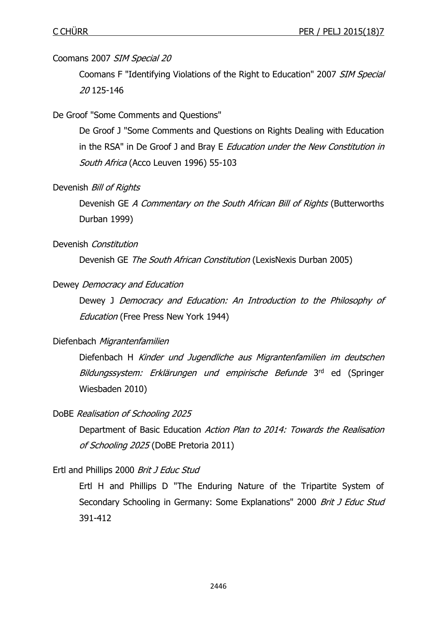# Coomans 2007 SIM Special 20

Coomans F "Identifying Violations of the Right to Education" 2007 SIM Special 20 125-146

De Groof "Some Comments and Questions"

De Groof J "Some Comments and Questions on Rights Dealing with Education in the RSA" in De Groof J and Bray E *Education under the New Constitution in* South Africa (Acco Leuven 1996) 55-103

#### Devenish Bill of Rights

Devenish GE A Commentary on the South African Bill of Rights (Butterworths Durban 1999)

#### Devenish Constitution

Devenish GE The South African Constitution (LexisNexis Durban 2005)

#### Dewey Democracy and Education

Dewey J Democracy and Education: An Introduction to the Philosophy of Education (Free Press New York 1944)

#### Diefenbach Migrantenfamilien

Diefenbach H Kinder und Jugendliche aus Migrantenfamilien im deutschen Bildungssystem: Erklärungen und empirische Befunde 3rd ed (Springer Wiesbaden 2010)

#### DoBE Realisation of Schooling 2025

Department of Basic Education Action Plan to 2014: Towards the Realisation of Schooling 2025 (DoBE Pretoria 2011)

#### Ertl and Phillips 2000 Brit J Educ Stud

Ertl H and Phillips D "The Enduring Nature of the Tripartite System of Secondary Schooling in Germany: Some Explanations" 2000 Brit J Educ Stud 391-412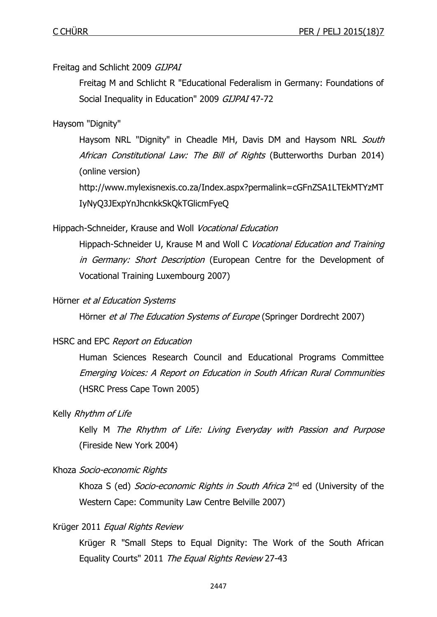#### Freitag and Schlicht 2009 GIJPAI

Freitag M and Schlicht R "Educational Federalism in Germany: Foundations of Social Inequality in Education" 2009 GIJPAI 47-72

#### Haysom "Dignity"

Haysom NRL "Dignity" in Cheadle MH, Davis DM and Haysom NRL South African Constitutional Law: The Bill of Rights (Butterworths Durban 2014) (online version)

http://www.mylexisnexis.co.za/Index.aspx?permalink=cGFnZSA1LTEkMTYzMT IyNyQ3JExpYnJhcnkkSkQkTGlicmFyeQ

#### Hippach-Schneider, Krause and Woll Vocational Education

Hippach-Schneider U, Krause M and Woll C Vocational Education and Training in Germany: Short Description (European Centre for the Development of Vocational Training Luxembourg 2007)

#### Hörner et al Education Systems

Hörner *et al The Education Systems of Europe* (Springer Dordrecht 2007)

#### HSRC and EPC Report on Education

Human Sciences Research Council and Educational Programs Committee Emerging Voices: A Report on Education in South African Rural Communities (HSRC Press Cape Town 2005)

#### Kelly Rhythm of Life

Kelly M The Rhythm of Life: Living Everyday with Passion and Purpose (Fireside New York 2004)

#### Khoza Socio-economic Rights

Khoza S (ed) *Socio-economic Rights in South Africa* 2<sup>nd</sup> ed (University of the Western Cape: Community Law Centre Belville 2007)

#### Krüger 2011 Equal Rights Review

Krüger R "Small Steps to Equal Dignity: The Work of the South African Equality Courts" 2011 The Equal Rights Review 27-43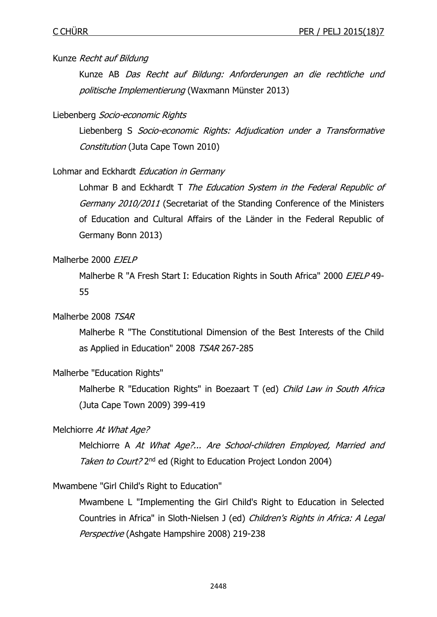#### Kunze Recht auf Bildung

Kunze AB Das Recht auf Bildung: Anforderungen an die rechtliche und politische Implementierung (Waxmann Münster 2013)

#### Liebenberg Socio-economic Rights

Liebenberg S Socio-economic Rights: Adjudication under a Transformative Constitution (Juta Cape Town 2010)

#### Lohmar and Eckhardt Education in Germany

Lohmar B and Eckhardt T The Education System in the Federal Republic of Germany 2010/2011 (Secretariat of the Standing Conference of the Ministers of Education and Cultural Affairs of the Länder in the Federal Republic of Germany Bonn 2013)

#### Malherbe 2000 EJELP

Malherbe R "A Fresh Start I: Education Rights in South Africa" 2000 EJELP 49-55

#### Malherbe 2008 TSAR

Malherbe R "The Constitutional Dimension of the Best Interests of the Child as Applied in Education" 2008 TSAR 267-285

#### Malherbe "Education Rights"

Malherbe R "Education Rights" in Boezaart T (ed) Child Law in South Africa (Juta Cape Town 2009) 399-419

#### Melchiorre At What Age?

Melchiorre A At What Age?... Are School-children Employed, Married and Taken to Court? 2<sup>nd</sup> ed (Right to Education Project London 2004)

#### Mwambene "Girl Child's Right to Education"

Mwambene L "Implementing the Girl Child's Right to Education in Selected Countries in Africa" in Sloth-Nielsen J (ed) Children's Rights in Africa: A Legal Perspective (Ashgate Hampshire 2008) 219-238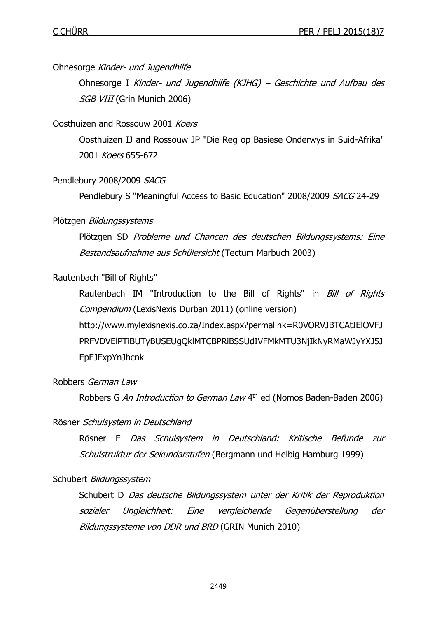#### Ohnesorge Kinder- und Jugendhilfe

Ohnesorge I Kinder- und Jugendhilfe (KJHG) – Geschichte und Aufbau des SGB VIII (Grin Munich 2006)

#### Oosthuizen and Rossouw 2001 Koers

Oosthuizen IJ and Rossouw JP "Die Reg op Basiese Onderwys in Suid-Afrika" 2001 *Koers* 655-672

#### Pendlebury 2008/2009 SACG

Pendlebury S "Meaningful Access to Basic Education" 2008/2009 SACG 24-29

#### Plötzgen Bildungssystems

Plötzgen SD Probleme und Chancen des deutschen Bildungssystems: Eine Bestandsaufnahme aus Schülersicht (Tectum Marbuch 2003)

# Rautenbach "Bill of Rights"

Rautenbach IM "Introduction to the Bill of Rights" in Bill of Rights Compendium (LexisNexis Durban 2011) (online version) http://www.mylexisnexis.co.za/Index.aspx?permalink=R0VORVJBTCAtIElOVFJ PRFVDVElPTiBUTyBUSEUgQklMTCBPRiBSSUdIVFMkMTU3NjIkNyRMaWJyYXJ5J EpEJExpYnJhcnk

#### Robbers German Law

Robbers G An Introduction to German Law 4<sup>th</sup> ed (Nomos Baden-Baden 2006)

#### Rösner Schulsystem in Deutschland

Rösner E Das Schulsystem in Deutschland: Kritische Befunde zur Schulstruktur der Sekundarstufen (Bergmann und Helbig Hamburg 1999)

#### Schubert Bildungssystem

Schubert D Das deutsche Bildungssystem unter der Kritik der Reproduktion sozialer Ungleichheit: Eine vergleichende Gegenüberstellung der Bildungssysteme von DDR und BRD (GRIN Munich 2010)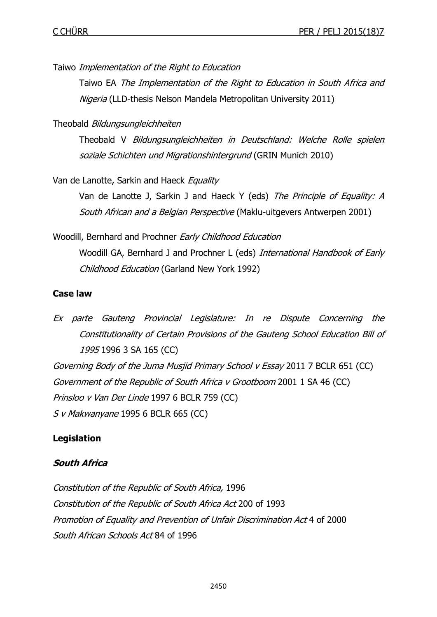Taiwo Implementation of the Right to Education

Taiwo EA The Implementation of the Right to Education in South Africa and Nigeria (LLD-thesis Nelson Mandela Metropolitan University 2011)

Theobald Bildungsungleichheiten

Theobald V Bildungsungleichheiten in Deutschland: Welche Rolle spielen soziale Schichten und Migrationshintergrund (GRIN Munich 2010)

Van de Lanotte, Sarkin and Haeck Equality

Van de Lanotte J, Sarkin J and Haeck Y (eds) The Principle of Equality: A South African and a Belgian Perspective (Maklu-uitgevers Antwerpen 2001)

Woodill, Bernhard and Prochner Early Childhood Education

Woodill GA, Bernhard J and Prochner L (eds) International Handbook of Early Childhood Education (Garland New York 1992)

#### **Case law**

Ex parte Gauteng Provincial Legislature: In re Dispute Concerning the Constitutionality of Certain Provisions of the Gauteng School Education Bill of 1995 1996 3 SA 165 (CC) Governing Body of the Juma Musjid Primary School v Essay 2011 7 BCLR 651 (CC) Government of the Republic of South Africa v Grootboom 2001 1 SA 46 (CC) Prinsloo v Van Der Linde 1997 6 BCLR 759 (CC)

S v Makwanyane 1995 6 BCLR 665 (CC)

#### **Legislation**

#### **South Africa**

Constitution of the Republic of South Africa, 1996 Constitution of the Republic of South Africa Act 200 of 1993 Promotion of Equality and Prevention of Unfair Discrimination Act 4 of 2000 South African Schools Act 84 of 1996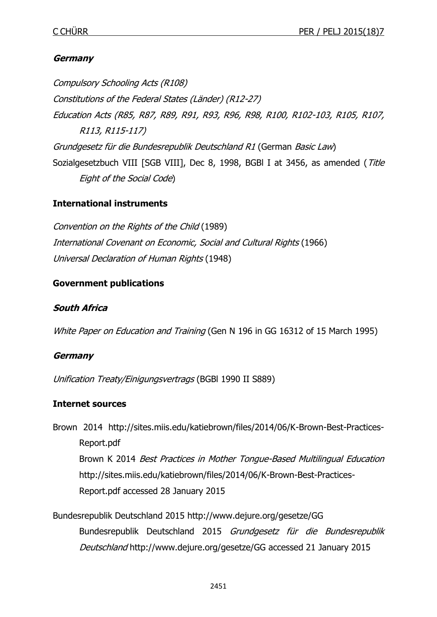# **Germany**

Compulsory Schooling Acts (R108) Constitutions of the Federal States (Länder) (R12-27) Education Acts (R85, R87, R89, R91, R93, R96, R98, R100, R102-103, R105, R107, R113, R115-117) Grundgesetz für die Bundesrepublik Deutschland R1 (German Basic Law) Sozialgesetzbuch VIII [SGB VIII], Dec 8, 1998, BGBI I at 3456, as amended (Title Eight of the Social Code)

# **International instruments**

Convention on the Rights of the Child (1989) International Covenant on Economic, Social and Cultural Rights (1966) Universal Declaration of Human Rights (1948)

# **Government publications**

# **South Africa**

White Paper on Education and Training (Gen N 196 in GG 16312 of 15 March 1995)

# **Germany**

Unification Treaty/Einigungsvertrags (BGBl 1990 II S889)

#### **Internet sources**

Brown 2014 http://sites.miis.edu/katiebrown/files/2014/06/K-Brown-Best-Practices-Report.pdf Brown K 2014 Best Practices in Mother Tongue-Based Multilingual Education http://sites.miis.edu/katiebrown/files/2014/06/K-Brown-Best-Practices-Report.pdf accessed 28 January 2015

Bundesrepublik Deutschland 2015 http://www.dejure.org/gesetze/GG Bundesrepublik Deutschland 2015 Grundgesetz für die Bundesrepublik Deutschland http://www.dejure.org/gesetze/GG accessed 21 January 2015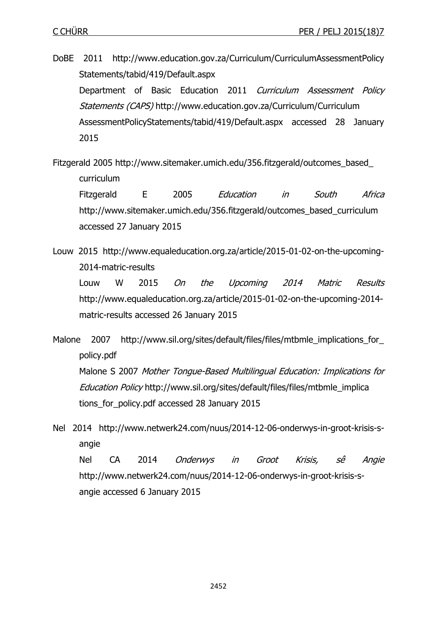- DoBE 2011 http://www.education.gov.za/Curriculum/CurriculumAssessmentPolicy Statements/tabid/419/Default.aspx Department of Basic Education 2011 Curriculum Assessment Policy Statements (CAPS) http://www.education.gov.za/Curriculum/Curriculum AssessmentPolicyStatements/tabid/419/Default.aspx accessed 28 January 2015
- Fitzgerald 2005 http://www.sitemaker.umich.edu/356.fitzgerald/outcomes\_based\_ curriculum

Fitzgerald E 2005 *Education in South Africa* http://www.sitemaker.umich.edu/356.fitzgerald/outcomes\_based\_curriculum accessed 27 January 2015

Louw 2015 http://www.equaleducation.org.za/article/2015-01-02-on-the-upcoming-2014-matric-results Louw W 2015 On the Upcoming 2014 Matric Results http://www.equaleducation.org.za/article/2015-01-02-on-the-upcoming-2014 matric-results accessed 26 January 2015

Malone 2007 http://www.sil.org/sites/default/files/files/mtbmle\_implications\_for\_ policy.pdf

Malone S 2007 Mother Tongue-Based Multilingual Education: Implications for Education Policy http://www.sil.org/sites/default/files/files/mtbmle\_implica tions\_for\_policy.pdf accessed 28 January 2015

Nel 2014 http://www.netwerk24.com/nuus/2014-12-06-onderwys-in-groot-krisis-sangie

Nel CA 2014 Onderwys in Groot Krisis, sê Angie http://www.netwerk24.com/nuus/2014-12-06-onderwys-in-groot-krisis-sangie accessed 6 January 2015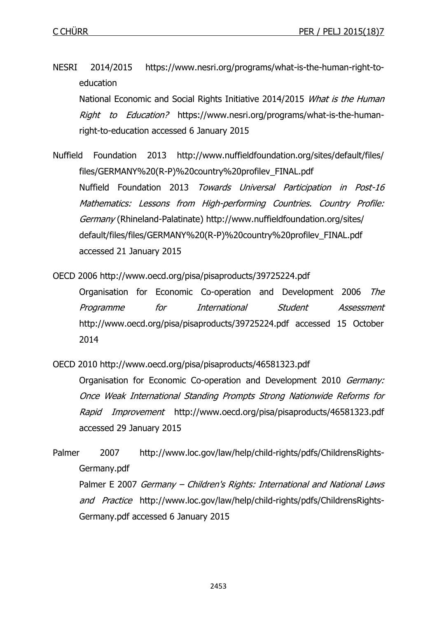NESRI 2014/2015 https://www.nesri.org/programs/what-is-the-human-right-toeducation

National Economic and Social Rights Initiative 2014/2015 What is the Human Right to Education? https://www.nesri.org/programs/what-is-the-humanright-to-education accessed 6 January 2015

Nuffield Foundation 2013 http://www.nuffieldfoundation.org/sites/default/files/ files/GERMANY%20(R-P)%20country%20profilev\_FINAL.pdf Nuffield Foundation 2013 Towards Universal Participation in Post-16 Mathematics: Lessons from High-performing Countries. Country Profile: Germany (Rhineland-Palatinate) http://www.nuffieldfoundation.org/sites/ default/files/files/GERMANY%20(R-P)%20country%20profilev\_FINAL.pdf accessed 21 January 2015

OECD 2006 http://www.oecd.org/pisa/pisaproducts/39725224.pdf

Organisation for Economic Co-operation and Development 2006 The Programme for International Student Assessment http://www.oecd.org/pisa/pisaproducts/39725224.pdf accessed 15 October 2014

OECD 2010 http://www.oecd.org/pisa/pisaproducts/46581323.pdf Organisation for Economic Co-operation and Development 2010 Germany: Once Weak International Standing Prompts Strong Nationwide Reforms for Rapid Improvement http://www.oecd.org/pisa/pisaproducts/46581323.pdf accessed 29 January 2015

Palmer 2007 http://www.loc.gov/law/help/child-rights/pdfs/ChildrensRights-Germany.pdf Palmer E 2007 Germany – Children's Rights: International and National Laws and Practice http://www.loc.gov/law/help/child-rights/pdfs/ChildrensRights-Germany.pdf accessed 6 January 2015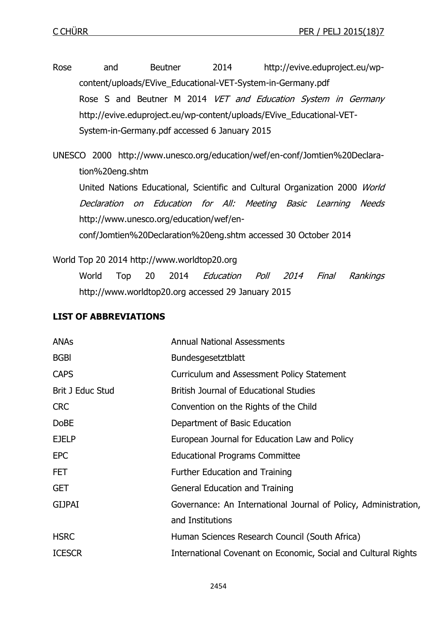Rose and Beutner 2014 http://evive.eduproject.eu/wpcontent/uploads/EVive\_Educational-VET-System-in-Germany.pdf Rose S and Beutner M 2014 VET and Education System in Germany http://evive.eduproject.eu/wp-content/uploads/EVive\_Educational-VET-System-in-Germany.pdf accessed 6 January 2015

UNESCO 2000 http://www.unesco.org/education/wef/en-conf/Jomtien%20Declaration%20eng.shtm United Nations Educational, Scientific and Cultural Organization 2000 World Declaration on Education for All: Meeting Basic Learning Needs http://www.unesco.org/education/wef/enconf/Jomtien%20Declaration%20eng.shtm accessed 30 October 2014

World Top 20 2014 http://www.worldtop20.org

World Top 20 2014 Education Poll 2014 Final Rankings http://www.worldtop20.org accessed 29 January 2015

#### **LIST OF ABBREVIATIONS**

| <b>ANAs</b>      | <b>Annual National Assessments</b>                              |
|------------------|-----------------------------------------------------------------|
| <b>BGBI</b>      | Bundesgesetztblatt                                              |
| <b>CAPS</b>      | Curriculum and Assessment Policy Statement                      |
| Brit J Educ Stud | <b>British Journal of Educational Studies</b>                   |
| <b>CRC</b>       | Convention on the Rights of the Child                           |
| <b>DoBE</b>      | Department of Basic Education                                   |
| <b>EJELP</b>     | European Journal for Education Law and Policy                   |
| <b>EPC</b>       | <b>Educational Programs Committee</b>                           |
| <b>FET</b>       | Further Education and Training                                  |
| <b>GET</b>       | General Education and Training                                  |
| <b>GIJPAI</b>    | Governance: An International Journal of Policy, Administration, |
|                  | and Institutions                                                |
| <b>HSRC</b>      | Human Sciences Research Council (South Africa)                  |
| <b>ICESCR</b>    | International Covenant on Economic, Social and Cultural Rights  |